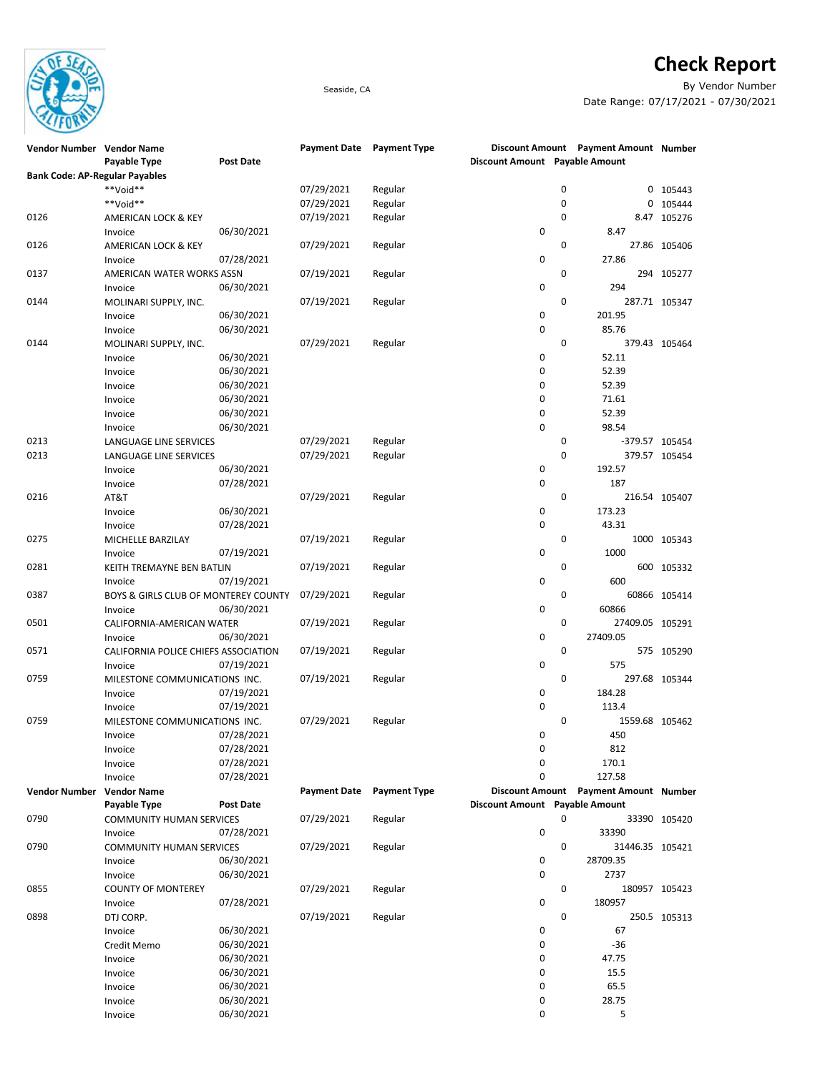

## **Check Report**

Seaside, CA By Vendor Number Date Range: 07/17/2021 - 07/30/2021

| Vendor Number                         | <b>Vendor Name</b>                   |                  | <b>Payment Date</b> | Payment Type        |                                |             | Discount Amount Payment Amount Number |               |
|---------------------------------------|--------------------------------------|------------------|---------------------|---------------------|--------------------------------|-------------|---------------------------------------|---------------|
|                                       | Payable Type                         | <b>Post Date</b> |                     |                     | Discount Amount Payable Amount |             |                                       |               |
| <b>Bank Code: AP-Regular Payables</b> |                                      |                  |                     |                     |                                |             |                                       |               |
|                                       | **Void**                             |                  | 07/29/2021          | Regular             |                                | $\mathbf 0$ | 0                                     | 105443        |
|                                       | **Void**                             |                  | 07/29/2021          | Regular             |                                | $\mathbf 0$ | 0                                     | 105444        |
| 0126                                  | AMERICAN LOCK & KEY                  |                  | 07/19/2021          | Regular             |                                | $\mathbf 0$ |                                       | 8.47 105276   |
|                                       | Invoice                              | 06/30/2021       |                     |                     | 0                              |             | 8.47                                  |               |
| 0126                                  | AMERICAN LOCK & KEY                  |                  | 07/29/2021          | Regular             |                                | $\mathbf 0$ |                                       | 27.86 105406  |
|                                       | Invoice                              | 07/28/2021       |                     |                     | 0                              |             | 27.86                                 |               |
|                                       |                                      |                  | 07/19/2021          |                     |                                | $\mathbf 0$ |                                       | 294 105277    |
| 0137                                  | AMERICAN WATER WORKS ASSN            | 06/30/2021       |                     | Regular             | 0                              |             | 294                                   |               |
|                                       | Invoice                              |                  |                     |                     |                                |             |                                       |               |
| 0144                                  | MOLINARI SUPPLY, INC.                |                  | 07/19/2021          | Regular             |                                | $\mathbf 0$ |                                       | 287.71 105347 |
|                                       | Invoice                              | 06/30/2021       |                     |                     | 0                              |             | 201.95                                |               |
|                                       | Invoice                              | 06/30/2021       |                     |                     | 0                              |             | 85.76                                 |               |
| 0144                                  | MOLINARI SUPPLY, INC.                |                  | 07/29/2021          | Regular             |                                | $\mathbf 0$ |                                       | 379.43 105464 |
|                                       | Invoice                              | 06/30/2021       |                     |                     | 0                              |             | 52.11                                 |               |
|                                       | Invoice                              | 06/30/2021       |                     |                     | 0                              |             | 52.39                                 |               |
|                                       | Invoice                              | 06/30/2021       |                     |                     | 0                              |             | 52.39                                 |               |
|                                       | Invoice                              | 06/30/2021       |                     |                     | 0                              |             | 71.61                                 |               |
|                                       | Invoice                              | 06/30/2021       |                     |                     | 0                              |             | 52.39                                 |               |
|                                       | Invoice                              | 06/30/2021       |                     |                     | 0                              |             | 98.54                                 |               |
| 0213                                  | LANGUAGE LINE SERVICES               |                  | 07/29/2021          | Regular             |                                | 0           | -379.57 105454                        |               |
| 0213                                  | LANGUAGE LINE SERVICES               |                  | 07/29/2021          | Regular             |                                | $\mathbf 0$ |                                       | 379.57 105454 |
|                                       | Invoice                              | 06/30/2021       |                     |                     | 0                              |             | 192.57                                |               |
|                                       | Invoice                              | 07/28/2021       |                     |                     | 0                              |             | 187                                   |               |
|                                       |                                      |                  | 07/29/2021          |                     |                                | $\mathbf 0$ |                                       |               |
| 0216                                  | AT&T                                 |                  |                     | Regular             |                                |             |                                       | 216.54 105407 |
|                                       | Invoice                              | 06/30/2021       |                     |                     | 0                              |             | 173.23                                |               |
|                                       | Invoice                              | 07/28/2021       |                     |                     | 0                              |             | 43.31                                 |               |
| 0275                                  | MICHELLE BARZILAY                    |                  | 07/19/2021          | Regular             |                                | $\mathbf 0$ |                                       | 1000 105343   |
|                                       | Invoice                              | 07/19/2021       |                     |                     | 0                              |             | 1000                                  |               |
| 0281                                  | KEITH TREMAYNE BEN BATLIN            |                  | 07/19/2021          | Regular             |                                | $\mathbf 0$ | 600                                   | 105332        |
|                                       | Invoice                              | 07/19/2021       |                     |                     | 0                              |             | 600                                   |               |
| 0387                                  | BOYS & GIRLS CLUB OF MONTEREY COUNTY |                  | 07/29/2021          | Regular             |                                | $\mathbf 0$ |                                       | 60866 105414  |
|                                       | Invoice                              | 06/30/2021       |                     |                     | 0                              |             | 60866                                 |               |
| 0501                                  | CALIFORNIA-AMERICAN WATER            |                  | 07/19/2021          | Regular             |                                | $\mathbf 0$ | 27409.05 105291                       |               |
|                                       | Invoice                              | 06/30/2021       |                     |                     | 0                              |             | 27409.05                              |               |
| 0571                                  | CALIFORNIA POLICE CHIEFS ASSOCIATION |                  | 07/19/2021          | Regular             |                                | $\mathbf 0$ |                                       | 575 105290    |
|                                       | Invoice                              | 07/19/2021       |                     |                     | 0                              |             | 575                                   |               |
| 0759                                  | MILESTONE COMMUNICATIONS INC.        |                  | 07/19/2021          | Regular             |                                | 0           |                                       | 297.68 105344 |
|                                       |                                      |                  |                     |                     |                                |             |                                       |               |
|                                       | Invoice                              | 07/19/2021       |                     |                     | 0                              |             | 184.28                                |               |
|                                       | Invoice                              | 07/19/2021       |                     |                     | 0                              |             | 113.4                                 |               |
| 0759                                  | MILESTONE COMMUNICATIONS INC.        |                  | 07/29/2021          | Regular             |                                | 0           | 1559.68 105462                        |               |
|                                       | Invoice                              | 07/28/2021       |                     |                     | 0                              |             | 450                                   |               |
|                                       | Invoice                              | 07/28/2021       |                     |                     | $\Omega$                       |             | 812                                   |               |
|                                       | Invoice                              | 07/28/2021       |                     |                     | 0                              |             | 170.1                                 |               |
|                                       | Invoice                              | 07/28/2021       |                     |                     | 0                              |             | 127.58                                |               |
| <b>Vendor Number</b>                  | <b>Vendor Name</b>                   |                  | <b>Payment Date</b> | <b>Payment Type</b> |                                |             | Discount Amount Payment Amount Number |               |
|                                       | Payable Type                         | Post Date        |                     |                     | Discount Amount Payable Amount |             |                                       |               |
| 0790                                  | <b>COMMUNITY HUMAN SERVICES</b>      |                  | 07/29/2021          | Regular             |                                | 0           |                                       | 33390 105420  |
|                                       | Invoice                              | 07/28/2021       |                     |                     | 0                              |             | 33390                                 |               |
| 0790                                  | <b>COMMUNITY HUMAN SERVICES</b>      |                  | 07/29/2021          | Regular             |                                | $\mathbf 0$ | 31446.35 105421                       |               |
|                                       | Invoice                              | 06/30/2021       |                     |                     | 0                              |             | 28709.35                              |               |
|                                       | Invoice                              | 06/30/2021       |                     |                     | 0                              |             | 2737                                  |               |
| 0855                                  |                                      |                  | 07/29/2021          | Regular             |                                | 0           | 180957 105423                         |               |
|                                       | <b>COUNTY OF MONTEREY</b>            |                  |                     |                     |                                |             |                                       |               |
|                                       | Invoice                              | 07/28/2021       |                     |                     | 0                              |             | 180957                                |               |
| 0898                                  | DTJ CORP.                            |                  | 07/19/2021          | Regular             |                                | 0           |                                       | 250.5 105313  |
|                                       | Invoice                              | 06/30/2021       |                     |                     | 0                              |             | 67                                    |               |
|                                       | Credit Memo                          | 06/30/2021       |                     |                     | 0                              |             | $-36$                                 |               |
|                                       | Invoice                              | 06/30/2021       |                     |                     | 0                              |             | 47.75                                 |               |
|                                       | Invoice                              | 06/30/2021       |                     |                     | 0                              |             | 15.5                                  |               |
|                                       | Invoice                              | 06/30/2021       |                     |                     | 0                              |             | 65.5                                  |               |
|                                       | Invoice                              | 06/30/2021       |                     |                     | 0                              |             | 28.75                                 |               |
|                                       | Invoice                              | 06/30/2021       |                     |                     | 0                              |             | 5                                     |               |
|                                       |                                      |                  |                     |                     |                                |             |                                       |               |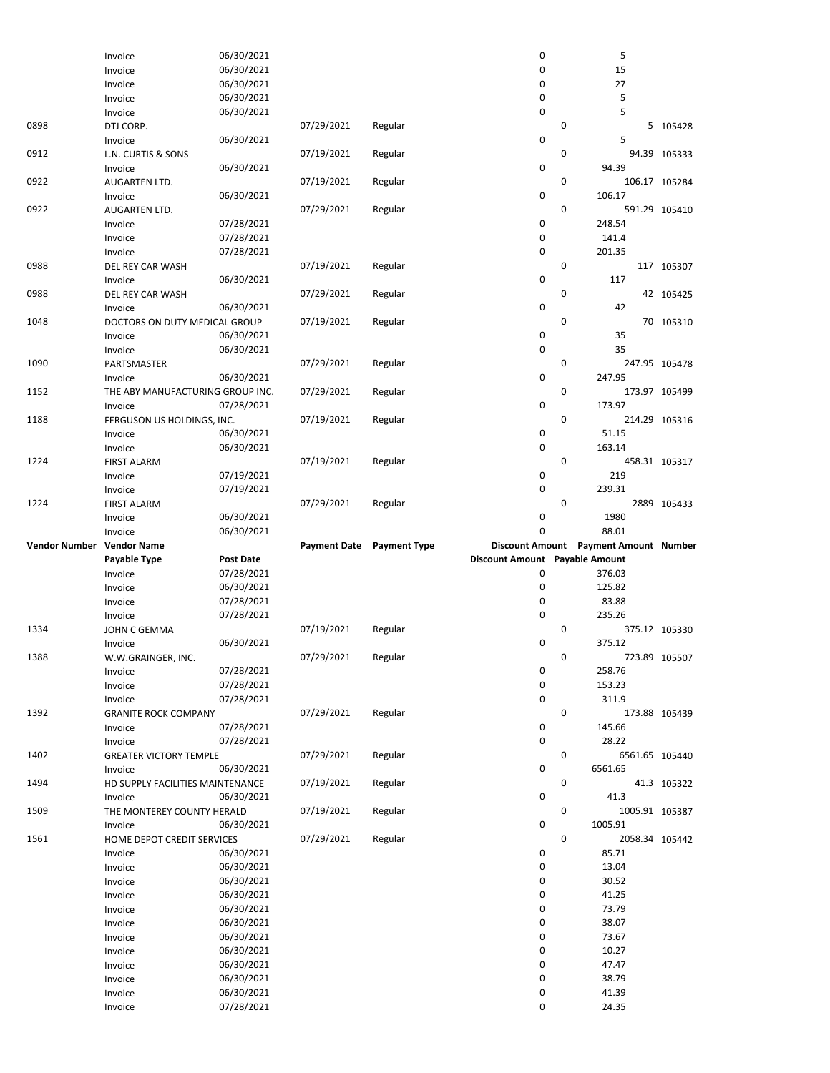|                           | Invoice                                | 06/30/2021               |                     |                     | 0                              |             | 5                                     |               |
|---------------------------|----------------------------------------|--------------------------|---------------------|---------------------|--------------------------------|-------------|---------------------------------------|---------------|
|                           | Invoice                                | 06/30/2021               |                     |                     | $\mathbf 0$                    |             | 15                                    |               |
|                           | Invoice                                | 06/30/2021               |                     |                     | $\mathbf 0$                    |             | 27                                    |               |
|                           | Invoice                                | 06/30/2021               |                     |                     | $\mathbf 0$                    |             | 5                                     |               |
|                           | Invoice                                | 06/30/2021               |                     |                     | $\mathbf 0$                    |             | 5                                     |               |
| 0898                      | DTJ CORP.                              |                          | 07/29/2021          | Regular             |                                | 0           |                                       | 5 105428      |
|                           | Invoice                                | 06/30/2021               |                     |                     | $\mathbf 0$                    |             | 5                                     |               |
| 0912                      | L.N. CURTIS & SONS                     |                          | 07/19/2021          | Regular             |                                | 0           |                                       | 94.39 105333  |
|                           | Invoice                                | 06/30/2021               |                     |                     | $\pmb{0}$                      |             | 94.39                                 |               |
| 0922                      | AUGARTEN LTD.                          |                          | 07/19/2021          | Regular             |                                | 0           |                                       | 106.17 105284 |
|                           | Invoice                                | 06/30/2021               |                     |                     | $\mathbf 0$                    |             | 106.17                                |               |
| 0922                      | <b>AUGARTEN LTD.</b>                   |                          | 07/29/2021          | Regular             |                                | $\mathbf 0$ |                                       | 591.29 105410 |
|                           | Invoice                                | 07/28/2021               |                     |                     | $\mathbf 0$                    |             | 248.54                                |               |
|                           | Invoice                                | 07/28/2021               |                     |                     | 0                              |             | 141.4                                 |               |
|                           | Invoice                                | 07/28/2021               |                     |                     | $\pmb{0}$                      |             | 201.35                                |               |
| 0988                      | DEL REY CAR WASH                       |                          | 07/19/2021          | Regular             |                                | $\mathbf 0$ |                                       | 117 105307    |
|                           | Invoice                                | 06/30/2021               |                     |                     | 0                              |             | 117                                   |               |
| 0988                      | DEL REY CAR WASH                       |                          | 07/29/2021          | Regular             |                                | 0           |                                       | 42 105425     |
|                           | Invoice                                | 06/30/2021               |                     |                     | $\pmb{0}$                      |             | 42                                    |               |
| 1048                      | DOCTORS ON DUTY MEDICAL GROUP          |                          | 07/19/2021          | Regular             |                                | $\mathbf 0$ |                                       | 70 105310     |
|                           | Invoice                                | 06/30/2021               |                     |                     | 0                              |             | 35                                    |               |
|                           | Invoice                                | 06/30/2021               |                     |                     | $\mathbf 0$                    |             | 35                                    |               |
| 1090                      | PARTSMASTER                            |                          | 07/29/2021          | Regular             |                                | $\mathbf 0$ |                                       | 247.95 105478 |
|                           | Invoice                                | 06/30/2021               |                     |                     | $\mathbf 0$                    | 0           | 247.95                                |               |
| 1152                      | THE ABY MANUFACTURING GROUP INC.       |                          | 07/29/2021          | Regular             | $\pmb{0}$                      |             |                                       | 173.97 105499 |
| 1188                      | Invoice                                | 07/28/2021               |                     |                     |                                | $\mathbf 0$ | 173.97                                |               |
|                           | FERGUSON US HOLDINGS, INC.             |                          | 07/19/2021          | Regular             | 0                              |             |                                       | 214.29 105316 |
|                           | Invoice                                | 06/30/2021               |                     |                     | $\mathbf 0$                    |             | 51.15<br>163.14                       |               |
| 1224                      | Invoice<br><b>FIRST ALARM</b>          | 06/30/2021               | 07/19/2021          |                     |                                | 0           |                                       | 458.31 105317 |
|                           | Invoice                                | 07/19/2021               |                     | Regular             | 0                              |             | 219                                   |               |
|                           | Invoice                                | 07/19/2021               |                     |                     | $\mathbf 0$                    |             | 239.31                                |               |
| 1224                      | <b>FIRST ALARM</b>                     |                          | 07/29/2021          | Regular             |                                | 0           |                                       | 2889 105433   |
|                           | Invoice                                | 06/30/2021               |                     |                     | 0                              |             | 1980                                  |               |
|                           | Invoice                                | 06/30/2021               |                     |                     | 0                              |             | 88.01                                 |               |
|                           |                                        |                          |                     |                     |                                |             |                                       |               |
|                           |                                        |                          |                     |                     |                                |             |                                       |               |
| Vendor Number Vendor Name |                                        |                          | <b>Payment Date</b> | <b>Payment Type</b> |                                |             | Discount Amount Payment Amount Number |               |
|                           | Payable Type                           | <b>Post Date</b>         |                     |                     | Discount Amount Payable Amount |             |                                       |               |
|                           | Invoice                                | 07/28/2021               |                     |                     | $\mathbf 0$                    |             | 376.03                                |               |
|                           | Invoice                                | 06/30/2021               |                     |                     | 0                              |             | 125.82                                |               |
|                           | Invoice                                | 07/28/2021               |                     |                     | $\mathbf 0$                    |             | 83.88                                 |               |
|                           | Invoice                                | 07/28/2021               |                     |                     | $\pmb{0}$                      | 0           | 235.26                                |               |
| 1334                      | JOHN C GEMMA                           |                          | 07/19/2021          | Regular             |                                |             |                                       | 375.12 105330 |
|                           | Invoice                                | 06/30/2021               |                     |                     | $\mathbf 0$                    | 0           | 375.12                                |               |
| 1388                      | W.W.GRAINGER, INC.                     |                          | 07/29/2021          | Regular             |                                |             |                                       | 723.89 105507 |
|                           | Invoice                                | 07/28/2021               |                     |                     | 0<br>0                         |             | 258.76                                |               |
|                           | Invoice                                | 07/28/2021               |                     |                     | $\pmb{0}$                      |             | 153.23<br>311.9                       |               |
| 1392                      | Invoice<br><b>GRANITE ROCK COMPANY</b> | 07/28/2021               | 07/29/2021          | Regular             |                                | 0           |                                       | 173.88 105439 |
|                           | Invoice                                | 07/28/2021               |                     |                     | 0                              |             | 145.66                                |               |
|                           | Invoice                                | 07/28/2021               |                     |                     | $\pmb{0}$                      |             | 28.22                                 |               |
| 1402                      | <b>GREATER VICTORY TEMPLE</b>          |                          | 07/29/2021          | Regular             |                                | 0           | 6561.65 105440                        |               |
|                           | Invoice                                | 06/30/2021               |                     |                     | 0                              |             | 6561.65                               |               |
| 1494                      | HD SUPPLY FACILITIES MAINTENANCE       |                          | 07/19/2021          | Regular             |                                | 0           |                                       | 41.3 105322   |
|                           | Invoice                                | 06/30/2021               |                     |                     | 0                              |             | 41.3                                  |               |
| 1509                      | THE MONTEREY COUNTY HERALD             |                          | 07/19/2021          | Regular             |                                | 0           | 1005.91 105387                        |               |
|                           | Invoice                                | 06/30/2021               |                     |                     | $\mathbf 0$                    |             | 1005.91                               |               |
| 1561                      | HOME DEPOT CREDIT SERVICES             |                          | 07/29/2021          | Regular             |                                | 0           | 2058.34 105442                        |               |
|                           | Invoice                                | 06/30/2021               |                     |                     | 0                              |             | 85.71                                 |               |
|                           | Invoice                                | 06/30/2021               |                     |                     | 0                              |             | 13.04                                 |               |
|                           | Invoice                                | 06/30/2021               |                     |                     | 0                              |             | 30.52                                 |               |
|                           | Invoice                                | 06/30/2021               |                     |                     | 0                              |             | 41.25                                 |               |
|                           | Invoice                                | 06/30/2021               |                     |                     | 0                              |             | 73.79                                 |               |
|                           | Invoice                                | 06/30/2021               |                     |                     | 0                              |             | 38.07                                 |               |
|                           | Invoice                                | 06/30/2021               |                     |                     | 0                              |             | 73.67                                 |               |
|                           | Invoice                                | 06/30/2021               |                     |                     | 0                              |             | 10.27                                 |               |
|                           | Invoice                                | 06/30/2021               |                     |                     | 0                              |             | 47.47                                 |               |
|                           | Invoice                                | 06/30/2021               |                     |                     | 0                              |             | 38.79                                 |               |
|                           | Invoice<br>Invoice                     | 06/30/2021<br>07/28/2021 |                     |                     | 0<br>$\mathbf 0$               |             | 41.39<br>24.35                        |               |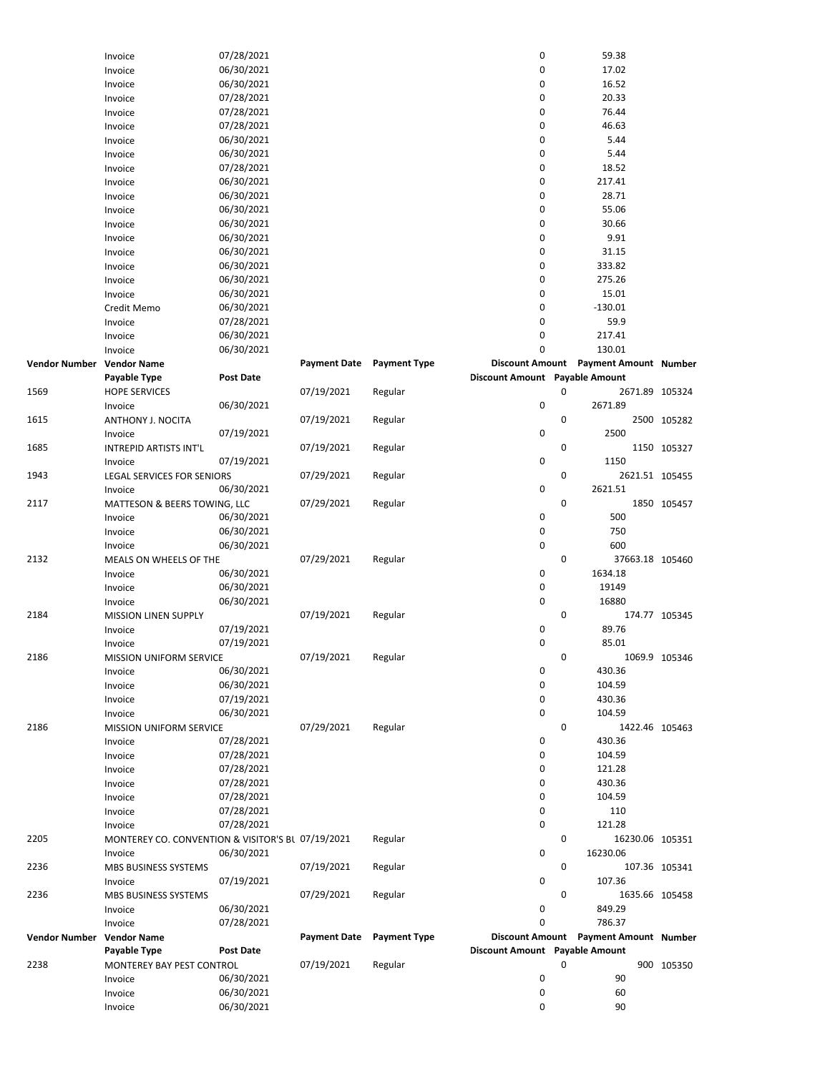|                           | Invoice                                           | 07/28/2021               |                     |                     | $\pmb{0}$                      |   | 59.38                                   |               |
|---------------------------|---------------------------------------------------|--------------------------|---------------------|---------------------|--------------------------------|---|-----------------------------------------|---------------|
|                           | Invoice                                           | 06/30/2021               |                     |                     | 0                              |   | 17.02                                   |               |
|                           | Invoice                                           | 06/30/2021               |                     |                     | 0                              |   | 16.52                                   |               |
|                           | Invoice                                           | 07/28/2021               |                     |                     | 0                              |   | 20.33                                   |               |
|                           |                                                   |                          |                     |                     | 0                              |   | 76.44                                   |               |
|                           | Invoice                                           | 07/28/2021               |                     |                     |                                |   |                                         |               |
|                           | Invoice                                           | 07/28/2021               |                     |                     | 0                              |   | 46.63                                   |               |
|                           | Invoice                                           | 06/30/2021               |                     |                     | 0                              |   | 5.44                                    |               |
|                           | Invoice                                           | 06/30/2021               |                     |                     | 0                              |   | 5.44                                    |               |
|                           | Invoice                                           | 07/28/2021               |                     |                     | 0                              |   | 18.52                                   |               |
|                           | Invoice                                           | 06/30/2021               |                     |                     | 0                              |   | 217.41                                  |               |
|                           |                                                   |                          |                     |                     |                                |   |                                         |               |
|                           | Invoice                                           | 06/30/2021               |                     |                     | 0                              |   | 28.71                                   |               |
|                           | Invoice                                           | 06/30/2021               |                     |                     | 0                              |   | 55.06                                   |               |
|                           | Invoice                                           | 06/30/2021               |                     |                     | 0                              |   | 30.66                                   |               |
|                           | Invoice                                           | 06/30/2021               |                     |                     | 0                              |   | 9.91                                    |               |
|                           | Invoice                                           | 06/30/2021               |                     |                     | 0                              |   | 31.15                                   |               |
|                           | Invoice                                           | 06/30/2021               |                     |                     | 0                              |   | 333.82                                  |               |
|                           |                                                   |                          |                     |                     |                                |   |                                         |               |
|                           | Invoice                                           | 06/30/2021               |                     |                     | 0                              |   | 275.26                                  |               |
|                           | Invoice                                           | 06/30/2021               |                     |                     | 0                              |   | 15.01                                   |               |
|                           | Credit Memo                                       | 06/30/2021               |                     |                     | 0                              |   | $-130.01$                               |               |
|                           | Invoice                                           | 07/28/2021               |                     |                     | 0                              |   | 59.9                                    |               |
|                           | Invoice                                           | 06/30/2021               |                     |                     | 0                              |   | 217.41                                  |               |
|                           |                                                   |                          |                     |                     |                                |   |                                         |               |
|                           | Invoice                                           | 06/30/2021               |                     |                     | 0                              |   | 130.01                                  |               |
| Vendor Number Vendor Name |                                                   |                          | <b>Payment Date</b> | <b>Payment Type</b> | <b>Discount Amount</b>         |   | Payment Amount Number                   |               |
|                           | Payable Type                                      | <b>Post Date</b>         |                     |                     | Discount Amount Payable Amount |   |                                         |               |
| 1569                      | <b>HOPE SERVICES</b>                              |                          | 07/19/2021          | Regular             |                                | 0 | 2671.89 105324                          |               |
|                           | Invoice                                           | 06/30/2021               |                     |                     | 0                              |   | 2671.89                                 |               |
| 1615                      | ANTHONY J. NOCITA                                 |                          | 07/19/2021          | Regular             |                                | 0 |                                         | 2500 105282   |
|                           |                                                   |                          |                     |                     |                                |   |                                         |               |
|                           | Invoice                                           | 07/19/2021               |                     |                     | $\pmb{0}$                      |   | 2500                                    |               |
| 1685                      | INTREPID ARTISTS INT'L                            |                          | 07/19/2021          | Regular             |                                | 0 |                                         | 1150 105327   |
|                           | Invoice                                           | 07/19/2021               |                     |                     | 0                              |   | 1150                                    |               |
| 1943                      | LEGAL SERVICES FOR SENIORS                        |                          | 07/29/2021          | Regular             |                                | 0 | 2621.51 105455                          |               |
|                           | Invoice                                           | 06/30/2021               |                     |                     | 0                              |   | 2621.51                                 |               |
| 2117                      |                                                   |                          | 07/29/2021          | Regular             |                                | 0 |                                         | 1850 105457   |
|                           | MATTESON & BEERS TOWING, LLC                      |                          |                     |                     |                                |   |                                         |               |
|                           | Invoice                                           | 06/30/2021               |                     |                     | 0                              |   | 500                                     |               |
|                           | Invoice                                           | 06/30/2021               |                     |                     | 0                              |   | 750                                     |               |
|                           | Invoice                                           | 06/30/2021               |                     |                     | 0                              |   | 600                                     |               |
| 2132                      | MEALS ON WHEELS OF THE                            |                          | 07/29/2021          | Regular             |                                | 0 | 37663.18 105460                         |               |
|                           | Invoice                                           | 06/30/2021               |                     |                     | 0                              |   | 1634.18                                 |               |
|                           |                                                   |                          |                     |                     |                                |   | 19149                                   |               |
|                           | Invoice                                           | 06/30/2021               |                     |                     | 0                              |   |                                         |               |
|                           | Invoice                                           | 06/30/2021               |                     |                     | 0                              |   | 16880                                   |               |
| 2184                      | <b>MISSION LINEN SUPPLY</b>                       |                          | 07/19/2021          | Regular             |                                | 0 |                                         | 174.77 105345 |
|                           | Invoice                                           | 07/19/2021               |                     |                     | 0                              |   | 89.76                                   |               |
|                           | Invoice                                           | 07/19/2021               |                     |                     | 0                              |   | 85.01                                   |               |
| 2186                      | MISSION UNIFORM SERVICE                           |                          | 07/19/2021          | Regular             |                                | 0 |                                         | 1069.9 105346 |
|                           |                                                   |                          |                     |                     |                                |   |                                         |               |
|                           | Invoice                                           | 06/30/2021               |                     |                     | 0                              |   | 430.36                                  |               |
|                           | Invoice                                           | 06/30/2021               |                     |                     | 0                              |   | 104.59                                  |               |
|                           | Invoice                                           | 07/19/2021               |                     |                     | 0                              |   | 430.36                                  |               |
|                           | Invoice                                           | 06/30/2021               |                     |                     | 0                              |   | 104.59                                  |               |
| 2186                      | MISSION UNIFORM SERVICE                           |                          | 07/29/2021          | Regular             |                                | 0 | 1422.46 105463                          |               |
|                           | Invoice                                           | 07/28/2021               |                     |                     | 0                              |   | 430.36                                  |               |
|                           |                                                   |                          |                     |                     |                                |   |                                         |               |
|                           | Invoice                                           | 07/28/2021               |                     |                     | 0                              |   | 104.59                                  |               |
|                           | Invoice                                           | 07/28/2021               |                     |                     | 0                              |   | 121.28                                  |               |
|                           | Invoice                                           | 07/28/2021               |                     |                     | 0                              |   | 430.36                                  |               |
|                           | Invoice                                           | 07/28/2021               |                     |                     | 0                              |   | 104.59                                  |               |
|                           | Invoice                                           | 07/28/2021               |                     |                     | 0                              |   | 110                                     |               |
|                           | Invoice                                           | 07/28/2021               |                     |                     | 0                              |   | 121.28                                  |               |
|                           |                                                   |                          |                     |                     |                                |   |                                         |               |
| 2205                      | MONTEREY CO. CONVENTION & VISITOR'S BL 07/19/2021 |                          |                     | Regular             |                                | 0 | 16230.06 105351                         |               |
|                           | Invoice                                           | 06/30/2021               |                     |                     | 0                              |   | 16230.06                                |               |
| 2236                      | MBS BUSINESS SYSTEMS                              |                          | 07/19/2021          | Regular             |                                | 0 |                                         | 107.36 105341 |
|                           | Invoice                                           | 07/19/2021               |                     |                     | 0                              |   | 107.36                                  |               |
| 2236                      | MBS BUSINESS SYSTEMS                              |                          | 07/29/2021          | Regular             |                                | 0 | 1635.66 105458                          |               |
|                           | Invoice                                           | 06/30/2021               |                     |                     | 0                              |   | 849.29                                  |               |
|                           |                                                   |                          |                     |                     |                                |   |                                         |               |
|                           | Invoice                                           | 07/28/2021               |                     |                     | 0                              |   | 786.37                                  |               |
| Vendor Number Vendor Name |                                                   |                          | <b>Payment Date</b> | <b>Payment Type</b> |                                |   | Discount Amount  Payment Amount  Number |               |
|                           | Payable Type                                      | <b>Post Date</b>         |                     |                     | Discount Amount Payable Amount |   |                                         |               |
| 2238                      | MONTEREY BAY PEST CONTROL                         |                          | 07/19/2021          | Regular             |                                | 0 |                                         | 900 105350    |
|                           | Invoice                                           | 06/30/2021               |                     |                     | 0                              |   | 90                                      |               |
|                           |                                                   |                          |                     |                     | 0                              |   | 60                                      |               |
|                           |                                                   |                          |                     |                     |                                |   |                                         |               |
|                           | Invoice<br>Invoice                                | 06/30/2021<br>06/30/2021 |                     |                     | 0                              |   | 90                                      |               |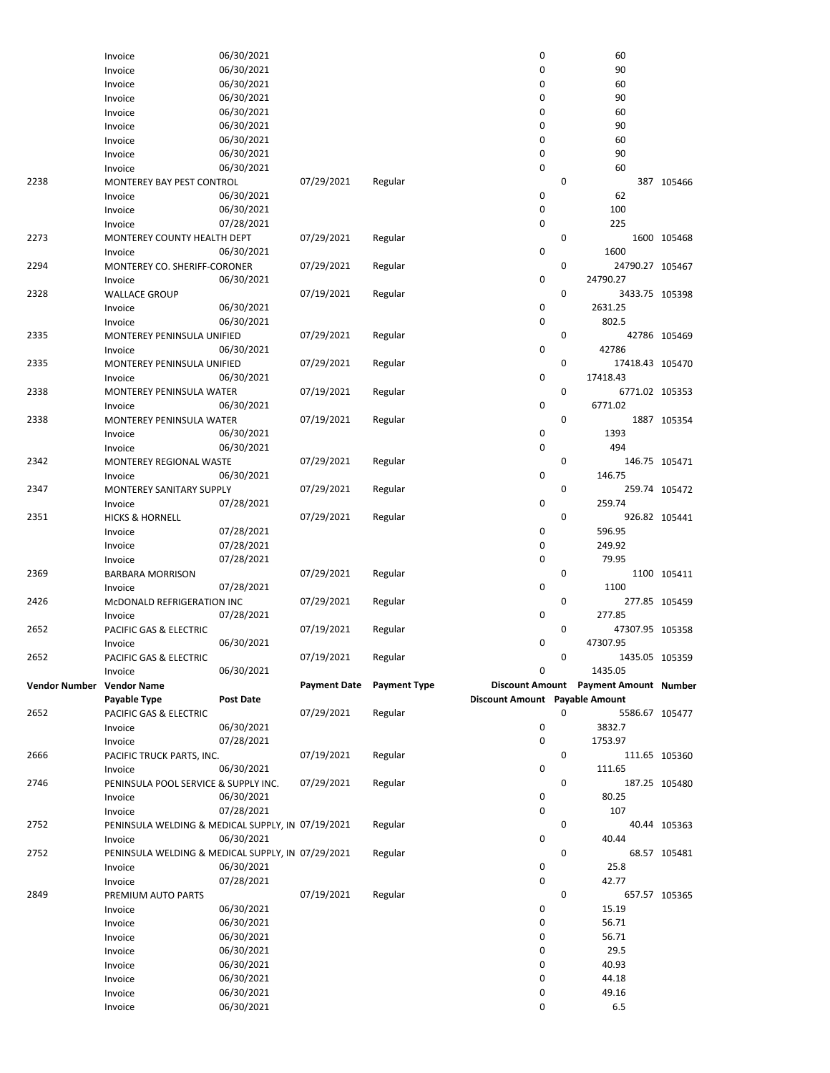|                           | Invoice                                           | 06/30/2021 |                     |                     | 0                              |   | 60                                    |               |
|---------------------------|---------------------------------------------------|------------|---------------------|---------------------|--------------------------------|---|---------------------------------------|---------------|
|                           | Invoice                                           | 06/30/2021 |                     |                     | 0                              |   | 90                                    |               |
|                           | Invoice                                           | 06/30/2021 |                     |                     | 0                              |   | 60                                    |               |
|                           | Invoice                                           | 06/30/2021 |                     |                     | $\mathbf 0$                    |   | 90                                    |               |
|                           | Invoice                                           | 06/30/2021 |                     |                     | $\mathbf 0$                    |   | 60                                    |               |
|                           | Invoice                                           | 06/30/2021 |                     |                     | 0                              |   | 90                                    |               |
|                           | Invoice                                           | 06/30/2021 |                     |                     | 0                              |   | 60                                    |               |
|                           | Invoice                                           | 06/30/2021 |                     |                     | $\mathbf 0$                    |   | 90                                    |               |
|                           | Invoice                                           | 06/30/2021 |                     |                     | 0                              |   | 60                                    |               |
| 2238                      | MONTEREY BAY PEST CONTROL                         |            | 07/29/2021          | Regular             |                                | 0 |                                       | 387 105466    |
|                           | Invoice                                           | 06/30/2021 |                     |                     | 0                              |   | 62                                    |               |
|                           | Invoice                                           | 06/30/2021 |                     |                     | $\mathbf 0$                    |   | 100                                   |               |
|                           | Invoice                                           | 07/28/2021 |                     |                     | $\mathbf 0$                    |   | 225                                   |               |
| 2273                      | <b>MONTEREY COUNTY HEALTH DEPT</b>                |            | 07/29/2021          |                     |                                | 0 |                                       | 1600 105468   |
|                           |                                                   | 06/30/2021 |                     | Regular             | $\mathbf 0$                    |   | 1600                                  |               |
|                           | Invoice                                           |            |                     |                     |                                |   |                                       |               |
| 2294                      | MONTEREY CO. SHERIFF-CORONER                      |            | 07/29/2021          | Regular             |                                | 0 | 24790.27 105467                       |               |
|                           | Invoice                                           | 06/30/2021 |                     |                     | $\mathbf 0$                    |   | 24790.27                              |               |
| 2328                      | <b>WALLACE GROUP</b>                              |            | 07/19/2021          | Regular             |                                | 0 | 3433.75 105398                        |               |
|                           | Invoice                                           | 06/30/2021 |                     |                     | $\mathbf 0$                    |   | 2631.25                               |               |
|                           | Invoice                                           | 06/30/2021 |                     |                     | 0                              |   | 802.5                                 |               |
| 2335                      | MONTEREY PENINSULA UNIFIED                        |            | 07/29/2021          | Regular             |                                | 0 |                                       | 42786 105469  |
|                           | Invoice                                           | 06/30/2021 |                     |                     | 0                              |   | 42786                                 |               |
| 2335                      | MONTEREY PENINSULA UNIFIED                        |            | 07/29/2021          | Regular             |                                | 0 | 17418.43 105470                       |               |
|                           | Invoice                                           | 06/30/2021 |                     |                     | 0                              |   | 17418.43                              |               |
| 2338                      | MONTEREY PENINSULA WATER                          |            | 07/19/2021          | Regular             |                                | 0 | 6771.02 105353                        |               |
|                           | Invoice                                           | 06/30/2021 |                     |                     | 0                              |   | 6771.02                               |               |
| 2338                      | MONTEREY PENINSULA WATER                          |            | 07/19/2021          | Regular             |                                | 0 |                                       | 1887 105354   |
|                           | Invoice                                           | 06/30/2021 |                     |                     | 0                              |   | 1393                                  |               |
|                           | Invoice                                           | 06/30/2021 |                     |                     | 0                              |   | 494                                   |               |
| 2342                      | MONTEREY REGIONAL WASTE                           |            | 07/29/2021          | Regular             |                                | 0 |                                       | 146.75 105471 |
|                           | Invoice                                           | 06/30/2021 |                     |                     | 0                              |   | 146.75                                |               |
| 2347                      | MONTEREY SANITARY SUPPLY                          |            | 07/29/2021          | Regular             |                                | 0 |                                       | 259.74 105472 |
|                           | Invoice                                           | 07/28/2021 |                     |                     | 0                              |   | 259.74                                |               |
| 2351                      | <b>HICKS &amp; HORNELL</b>                        |            | 07/29/2021          |                     |                                | 0 |                                       | 926.82 105441 |
|                           |                                                   |            |                     | Regular             | 0                              |   | 596.95                                |               |
|                           | Invoice                                           | 07/28/2021 |                     |                     |                                |   |                                       |               |
|                           | Invoice                                           | 07/28/2021 |                     |                     | 0                              |   | 249.92                                |               |
|                           | Invoice                                           | 07/28/2021 |                     |                     | $\mathbf 0$                    |   | 79.95                                 |               |
| 2369                      | <b>BARBARA MORRISON</b>                           |            | 07/29/2021          | Regular             |                                | 0 |                                       | 1100 105411   |
|                           | Invoice                                           | 07/28/2021 |                     |                     | 0                              |   | 1100                                  |               |
| 2426                      | McDONALD REFRIGERATION INC                        |            | 07/29/2021          | Regular             |                                | 0 |                                       | 277.85 105459 |
|                           | Invoice                                           | 07/28/2021 |                     |                     | 0                              |   | 277.85                                |               |
| 2652                      | PACIFIC GAS & ELECTRIC                            |            | 07/19/2021          | Regular             |                                | 0 | 47307.95 105358                       |               |
|                           | Invoice                                           | 06/30/2021 |                     |                     | $\mathbf 0$                    |   | 47307.95                              |               |
| 2652                      | PACIFIC GAS & ELECTRIC                            |            | 07/19/2021          | Regular             |                                | 0 | 1435.05 105359                        |               |
|                           | Invoice                                           | 06/30/2021 |                     |                     | 0                              |   | 1435.05                               |               |
| Vendor Number Vendor Name |                                                   |            | <b>Payment Date</b> | <b>Payment Type</b> |                                |   | Discount Amount Payment Amount Number |               |
|                           | Payable Type                                      | Post Date  |                     |                     | Discount Amount Payable Amount |   |                                       |               |
| 2652                      | PACIFIC GAS & ELECTRIC                            |            | 07/29/2021          | Regular             |                                | 0 | 5586.67 105477                        |               |
|                           | Invoice                                           | 06/30/2021 |                     |                     | 0                              |   | 3832.7                                |               |
|                           | Invoice                                           | 07/28/2021 |                     |                     | 0                              |   | 1753.97                               |               |
| 2666                      | PACIFIC TRUCK PARTS, INC.                         |            | 07/19/2021          | Regular             |                                | 0 |                                       | 111.65 105360 |
|                           | Invoice                                           | 06/30/2021 |                     |                     | 0                              |   | 111.65                                |               |
| 2746                      | PENINSULA POOL SERVICE & SUPPLY INC.              |            | 07/29/2021          | Regular             |                                | 0 |                                       |               |
|                           |                                                   |            |                     |                     | 0                              |   | 80.25                                 | 187.25 105480 |
|                           | Invoice                                           | 06/30/2021 |                     |                     |                                |   |                                       |               |
|                           | Invoice                                           | 07/28/2021 |                     |                     | 0                              |   | 107                                   |               |
| 2752                      | PENINSULA WELDING & MEDICAL SUPPLY, IN 07/19/2021 |            |                     | Regular             |                                | 0 |                                       | 40.44 105363  |
|                           | Invoice                                           | 06/30/2021 |                     |                     | 0                              |   | 40.44                                 |               |
| 2752                      | PENINSULA WELDING & MEDICAL SUPPLY, IN 07/29/2021 |            |                     | Regular             |                                | 0 |                                       | 68.57 105481  |
|                           | Invoice                                           | 06/30/2021 |                     |                     | 0                              |   | 25.8                                  |               |
|                           | Invoice                                           | 07/28/2021 |                     |                     | $\mathbf 0$                    |   | 42.77                                 |               |
| 2849                      | PREMIUM AUTO PARTS                                |            | 07/19/2021          | Regular             |                                | 0 |                                       | 657.57 105365 |
|                           | Invoice                                           | 06/30/2021 |                     |                     | 0                              |   | 15.19                                 |               |
|                           | Invoice                                           | 06/30/2021 |                     |                     | 0                              |   | 56.71                                 |               |
|                           | Invoice                                           | 06/30/2021 |                     |                     | 0                              |   | 56.71                                 |               |
|                           | Invoice                                           | 06/30/2021 |                     |                     | 0                              |   | 29.5                                  |               |
|                           | Invoice                                           | 06/30/2021 |                     |                     | 0                              |   | 40.93                                 |               |
|                           | Invoice                                           | 06/30/2021 |                     |                     | 0                              |   | 44.18                                 |               |
|                           | Invoice                                           | 06/30/2021 |                     |                     | 0                              |   | 49.16                                 |               |
|                           | Invoice                                           | 06/30/2021 |                     |                     | 0                              |   | 6.5                                   |               |
|                           |                                                   |            |                     |                     |                                |   |                                       |               |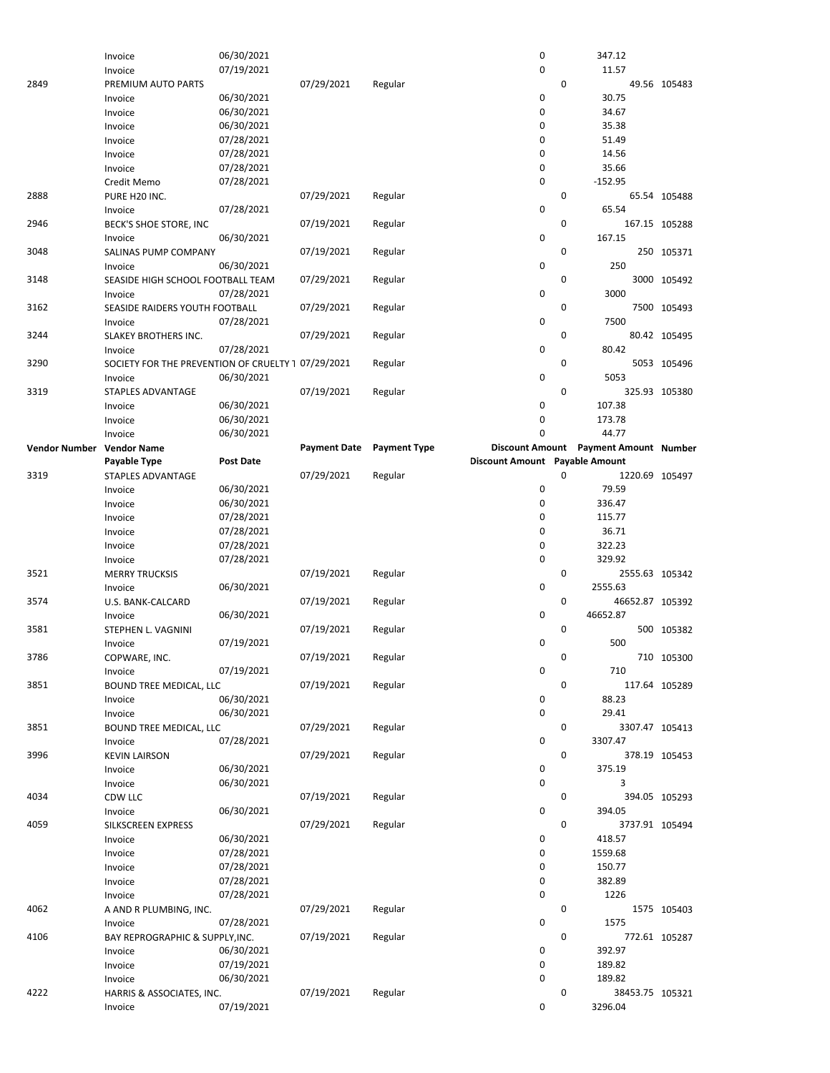|                           | Invoice                                            | 06/30/2021       |                     |                     | 0                              |             | 347.12                     |               |
|---------------------------|----------------------------------------------------|------------------|---------------------|---------------------|--------------------------------|-------------|----------------------------|---------------|
|                           | Invoice                                            | 07/19/2021       |                     |                     | 0                              |             | 11.57                      |               |
| 2849                      | PREMIUM AUTO PARTS                                 |                  | 07/29/2021          | Regular             |                                | 0           |                            | 49.56 105483  |
|                           |                                                    | 06/30/2021       |                     |                     | 0                              |             | 30.75                      |               |
|                           | Invoice                                            |                  |                     |                     |                                |             |                            |               |
|                           | Invoice                                            | 06/30/2021       |                     |                     | $\mathbf 0$                    |             | 34.67                      |               |
|                           | Invoice                                            | 06/30/2021       |                     |                     | 0                              |             | 35.38                      |               |
|                           | Invoice                                            | 07/28/2021       |                     |                     | 0                              |             | 51.49                      |               |
|                           | Invoice                                            | 07/28/2021       |                     |                     | 0                              |             | 14.56                      |               |
|                           | Invoice                                            | 07/28/2021       |                     |                     | 0                              |             | 35.66                      |               |
|                           | Credit Memo                                        | 07/28/2021       |                     |                     | 0                              |             | $-152.95$                  |               |
| 2888                      | PURE H20 INC.                                      |                  | 07/29/2021          | Regular             |                                | 0           |                            | 65.54 105488  |
|                           | Invoice                                            | 07/28/2021       |                     |                     | 0                              |             | 65.54                      |               |
| 2946                      |                                                    |                  |                     |                     |                                | 0           |                            | 167.15 105288 |
|                           | BECK'S SHOE STORE, INC                             |                  | 07/19/2021          | Regular             |                                |             |                            |               |
|                           | Invoice                                            | 06/30/2021       |                     |                     | $\pmb{0}$                      |             | 167.15                     |               |
| 3048                      | SALINAS PUMP COMPANY                               |                  | 07/19/2021          | Regular             |                                | $\mathbf 0$ |                            | 250 105371    |
|                           | Invoice                                            | 06/30/2021       |                     |                     | 0                              |             | 250                        |               |
| 3148                      | SEASIDE HIGH SCHOOL FOOTBALL TEAM                  |                  | 07/29/2021          | Regular             |                                | 0           |                            | 3000 105492   |
|                           | Invoice                                            | 07/28/2021       |                     |                     | 0                              |             | 3000                       |               |
| 3162                      | SEASIDE RAIDERS YOUTH FOOTBALL                     |                  | 07/29/2021          | Regular             |                                | 0           |                            | 7500 105493   |
|                           | Invoice                                            | 07/28/2021       |                     |                     | 0                              |             | 7500                       |               |
| 3244                      | SLAKEY BROTHERS INC.                               |                  | 07/29/2021          | Regular             |                                | 0           |                            | 80.42 105495  |
|                           |                                                    |                  |                     |                     | $\pmb{0}$                      |             |                            |               |
|                           | Invoice                                            | 07/28/2021       |                     |                     |                                |             | 80.42                      |               |
| 3290                      | SOCIETY FOR THE PREVENTION OF CRUELTY 1 07/29/2021 |                  |                     | Regular             |                                | $\mathbf 0$ |                            | 5053 105496   |
|                           | Invoice                                            | 06/30/2021       |                     |                     | 0                              |             | 5053                       |               |
| 3319                      | <b>STAPLES ADVANTAGE</b>                           |                  | 07/19/2021          | Regular             |                                | 0           |                            | 325.93 105380 |
|                           | Invoice                                            | 06/30/2021       |                     |                     | 0                              |             | 107.38                     |               |
|                           | Invoice                                            | 06/30/2021       |                     |                     | 0                              |             | 173.78                     |               |
|                           | Invoice                                            | 06/30/2021       |                     |                     | 0                              |             | 44.77                      |               |
|                           |                                                    |                  |                     |                     |                                |             |                            |               |
| Vendor Number Vendor Name |                                                    |                  | <b>Payment Date</b> | <b>Payment Type</b> | <b>Discount Amount</b>         |             | Payment Amount Number      |               |
|                           | Payable Type                                       | <b>Post Date</b> |                     |                     | Discount Amount Payable Amount |             |                            |               |
| 3319                      | STAPLES ADVANTAGE                                  |                  | 07/29/2021          | Regular             |                                | 0           | 1220.69 105497             |               |
|                           | Invoice                                            | 06/30/2021       |                     |                     | 0                              |             | 79.59                      |               |
|                           | Invoice                                            | 06/30/2021       |                     |                     | 0                              |             | 336.47                     |               |
|                           | Invoice                                            | 07/28/2021       |                     |                     | 0                              |             | 115.77                     |               |
|                           | Invoice                                            | 07/28/2021       |                     |                     | 0                              |             | 36.71                      |               |
|                           | Invoice                                            | 07/28/2021       |                     |                     | 0                              |             | 322.23                     |               |
|                           |                                                    |                  |                     |                     | 0                              |             | 329.92                     |               |
|                           | Invoice                                            | 07/28/2021       |                     |                     |                                |             |                            |               |
| 3521                      | <b>MERRY TRUCKSIS</b>                              |                  | 07/19/2021          | Regular             |                                | 0           | 2555.63 105342             |               |
|                           | Invoice                                            | 06/30/2021       |                     |                     | 0                              |             | 2555.63                    |               |
| 3574                      | U.S. BANK-CALCARD                                  |                  | 07/19/2021          | Regular             |                                | 0           | 46652.87 105392            |               |
|                           | Invoice                                            | 06/30/2021       |                     |                     | 0                              |             | 46652.87                   |               |
| 3581                      | STEPHEN L. VAGNINI                                 |                  | 07/19/2021          | Regular             |                                | 0           |                            | 500 105382    |
|                           | Invoice                                            | 07/19/2021       |                     |                     |                                |             |                            |               |
| 3786                      |                                                    |                  |                     |                     |                                |             |                            |               |
|                           |                                                    |                  |                     |                     | 0                              |             | 500                        |               |
|                           | COPWARE, INC.                                      |                  | 07/19/2021          | Regular             |                                | 0           |                            | 710 105300    |
|                           | Invoice                                            | 07/19/2021       |                     |                     | 0                              |             | 710                        |               |
| 3851                      | BOUND TREE MEDICAL, LLC                            |                  | 07/19/2021          | Regular             |                                | 0           |                            | 117.64 105289 |
|                           | Invoice                                            | 06/30/2021       |                     |                     | 0                              |             | 88.23                      |               |
|                           | Invoice                                            | 06/30/2021       |                     |                     | 0                              |             | 29.41                      |               |
| 3851                      | BOUND TREE MEDICAL, LLC                            |                  | 07/29/2021          | Regular             |                                | 0           | 3307.47 105413             |               |
|                           | Invoice                                            | 07/28/2021       |                     |                     | 0                              |             | 3307.47                    |               |
|                           |                                                    |                  |                     |                     |                                | 0           |                            |               |
| 3996                      | <b>KEVIN LAIRSON</b>                               |                  | 07/29/2021          | Regular             |                                |             |                            | 378.19 105453 |
|                           | Invoice                                            | 06/30/2021       |                     |                     | 0                              |             | 375.19                     |               |
|                           | Invoice                                            | 06/30/2021       |                     |                     | 0                              |             | 3                          |               |
| 4034                      | CDW LLC                                            |                  | 07/19/2021          | Regular             |                                | 0           |                            | 394.05 105293 |
|                           | Invoice                                            | 06/30/2021       |                     |                     | 0                              |             | 394.05                     |               |
| 4059                      | SILKSCREEN EXPRESS                                 |                  | 07/29/2021          | Regular             |                                | 0           | 3737.91 105494             |               |
|                           | Invoice                                            | 06/30/2021       |                     |                     | 0                              |             | 418.57                     |               |
|                           | Invoice                                            | 07/28/2021       |                     |                     | 0                              |             | 1559.68                    |               |
|                           | Invoice                                            |                  |                     |                     | 0                              |             | 150.77                     |               |
|                           |                                                    | 07/28/2021       |                     |                     | 0                              |             | 382.89                     |               |
|                           | Invoice                                            | 07/28/2021       |                     |                     |                                |             |                            |               |
|                           | Invoice                                            | 07/28/2021       |                     |                     | 0                              |             | 1226                       |               |
| 4062                      | A AND R PLUMBING, INC.                             |                  | 07/29/2021          | Regular             |                                | 0           |                            | 1575 105403   |
|                           | Invoice                                            | 07/28/2021       |                     |                     | 0                              |             | 1575                       |               |
| 4106                      | BAY REPROGRAPHIC & SUPPLY, INC.                    |                  | 07/19/2021          | Regular             |                                | 0           |                            | 772.61 105287 |
|                           | Invoice                                            | 06/30/2021       |                     |                     | 0                              |             | 392.97                     |               |
|                           | Invoice                                            | 07/19/2021       |                     |                     | 0                              |             | 189.82                     |               |
|                           | Invoice                                            | 06/30/2021       |                     |                     | 0                              |             | 189.82                     |               |
| 4222                      |                                                    |                  |                     |                     |                                | 0           |                            |               |
|                           | HARRIS & ASSOCIATES, INC.<br>Invoice               | 07/19/2021       | 07/19/2021          | Regular             | 0                              |             | 38453.75 105321<br>3296.04 |               |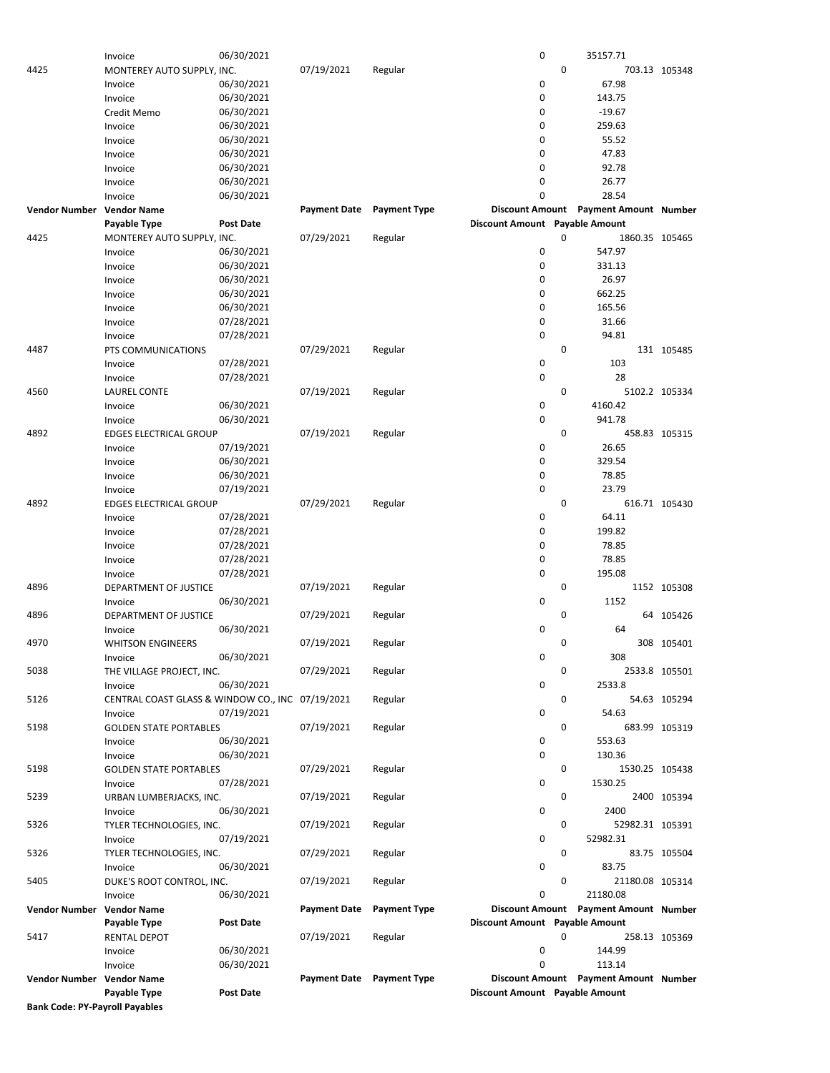| 0<br>07/19/2021<br>4425<br>Regular<br>703.13 105348<br>MONTEREY AUTO SUPPLY, INC.<br>0<br>06/30/2021<br>67.98<br>Invoice<br>0<br>06/30/2021<br>143.75<br>Invoice<br>0<br>$-19.67$<br>06/30/2021<br>Credit Memo<br>06/30/2021<br>0<br>259.63<br>Invoice<br>06/30/2021<br>0<br>55.52<br>Invoice<br>0<br>47.83<br>06/30/2021<br>Invoice<br>92.78<br>06/30/2021<br>0<br>Invoice<br>26.77<br>06/30/2021<br>0<br>Invoice<br>28.54<br>06/30/2021<br>0<br>Invoice<br><b>Discount Amount</b><br><b>Payment Amount Number</b><br><b>Vendor Number</b><br><b>Vendor Name</b><br><b>Payment Date</b><br><b>Payment Type</b><br>Discount Amount Payable Amount<br><b>Post Date</b><br>Payable Type<br>4425<br>07/29/2021<br>Regular<br>0<br>1860.35 105465<br>MONTEREY AUTO SUPPLY, INC.<br>0<br>547.97<br>06/30/2021<br>Invoice<br>06/30/2021<br>0<br>331.13<br>Invoice<br>06/30/2021<br>0<br>26.97<br>Invoice<br>06/30/2021<br>0<br>662.25<br>Invoice<br>0<br>165.56<br>06/30/2021<br>Invoice<br>0<br>07/28/2021<br>31.66<br>Invoice<br>0<br>94.81<br>07/28/2021<br>Invoice<br>0<br>4487<br>07/29/2021<br>PTS COMMUNICATIONS<br>Regular<br>131 105485<br>103<br>07/28/2021<br>0<br>Invoice<br>0<br>28<br>07/28/2021<br>Invoice<br>0<br>07/19/2021<br>Regular<br>5102.2 105334<br>4560<br><b>LAUREL CONTE</b><br>0<br>06/30/2021<br>4160.42<br>Invoice<br>06/30/2021<br>0<br>941.78<br>Invoice<br>$\mathbf 0$<br>07/19/2021<br>458.83 105315<br>4892<br><b>EDGES ELECTRICAL GROUP</b><br>Regular<br>0<br>26.65<br>07/19/2021<br>Invoice<br>0<br>329.54<br>06/30/2021<br>Invoice<br>06/30/2021<br>0<br>78.85<br>Invoice<br>0<br>23.79<br>07/19/2021<br>Invoice<br>$\mathbf 0$<br>4892<br>07/29/2021<br>Regular<br>616.71 105430<br><b>EDGES ELECTRICAL GROUP</b><br>07/28/2021<br>0<br>64.11<br>Invoice<br>0<br>07/28/2021<br>199.82<br>Invoice<br>07/28/2021<br>0<br>78.85<br>Invoice<br>07/28/2021<br>0<br>78.85<br>Invoice<br>$\mathbf 0$<br>07/28/2021<br>195.08<br>Invoice<br>$\mathbf 0$<br>4896<br>07/19/2021<br>DEPARTMENT OF JUSTICE<br>Regular<br>1152 105308<br>0<br>1152<br>06/30/2021<br>Invoice<br>4896<br>07/29/2021<br>0<br>DEPARTMENT OF JUSTICE<br>Regular<br>64 105426<br>0<br>06/30/2021<br>64<br>Invoice<br>4970<br>07/19/2021<br>0<br><b>WHITSON ENGINEERS</b><br>Regular<br>308 105401<br>308<br>06/30/2021<br>0<br>Invoice<br>$\mathbf 0$<br>5038<br>07/29/2021<br>THE VILLAGE PROJECT, INC.<br>Regular<br>2533.8 105501<br>0<br>06/30/2021<br>2533.8<br>Invoice<br>0<br>5126<br>CENTRAL COAST GLASS & WINDOW CO., INC 07/19/2021<br>Regular<br>54.63 105294<br>0<br>07/19/2021<br>54.63<br>Invoice<br>5198<br>07/19/2021<br>0<br>683.99 105319<br><b>GOLDEN STATE PORTABLES</b><br>Regular<br>06/30/2021<br>0<br>553.63<br>Invoice<br>0<br>06/30/2021<br>130.36<br>Invoice<br>07/29/2021<br>0<br>5198<br>Regular<br>1530.25 105438<br><b>GOLDEN STATE PORTABLES</b><br>0<br>1530.25<br>07/28/2021<br>Invoice<br>0<br>5239<br>07/19/2021<br>Regular<br>2400 105394<br>URBAN LUMBERJACKS, INC.<br>0<br>06/30/2021<br>2400<br>Invoice<br>07/19/2021<br>0<br>5326<br>Regular<br>52982.31 105391<br>TYLER TECHNOLOGIES, INC.<br>0<br>07/19/2021<br>52982.31<br>Invoice<br>0<br>5326<br>07/29/2021<br>Regular<br>83.75 105504<br>TYLER TECHNOLOGIES, INC.<br>06/30/2021<br>0<br>83.75<br>Invoice<br>0<br>5405<br>07/19/2021<br>Regular<br>21180.08 105314<br>DUKE'S ROOT CONTROL, INC.<br>0<br>21180.08<br>Invoice<br>06/30/2021<br>Discount Amount Payment Amount Number<br>Vendor Number Vendor Name<br><b>Payment Date</b><br><b>Payment Type</b><br>Discount Amount Payable Amount<br>Payable Type<br>Post Date<br>5417<br>0<br>RENTAL DEPOT<br>07/19/2021<br>Regular<br>258.13 105369<br>06/30/2021<br>0<br>144.99<br>Invoice<br>06/30/2021<br>0<br>113.14<br>Invoice<br>Discount Amount Payment Amount Number<br>Vendor Number Vendor Name<br>Payment Date Payment Type<br>Payable Type<br><b>Post Date</b><br>Discount Amount Payable Amount<br><b>Bank Code: PY-Payroll Payables</b> | Invoice | 06/30/2021 |  | 0 | 35157.71 |  |
|----------------------------------------------------------------------------------------------------------------------------------------------------------------------------------------------------------------------------------------------------------------------------------------------------------------------------------------------------------------------------------------------------------------------------------------------------------------------------------------------------------------------------------------------------------------------------------------------------------------------------------------------------------------------------------------------------------------------------------------------------------------------------------------------------------------------------------------------------------------------------------------------------------------------------------------------------------------------------------------------------------------------------------------------------------------------------------------------------------------------------------------------------------------------------------------------------------------------------------------------------------------------------------------------------------------------------------------------------------------------------------------------------------------------------------------------------------------------------------------------------------------------------------------------------------------------------------------------------------------------------------------------------------------------------------------------------------------------------------------------------------------------------------------------------------------------------------------------------------------------------------------------------------------------------------------------------------------------------------------------------------------------------------------------------------------------------------------------------------------------------------------------------------------------------------------------------------------------------------------------------------------------------------------------------------------------------------------------------------------------------------------------------------------------------------------------------------------------------------------------------------------------------------------------------------------------------------------------------------------------------------------------------------------------------------------------------------------------------------------------------------------------------------------------------------------------------------------------------------------------------------------------------------------------------------------------------------------------------------------------------------------------------------------------------------------------------------------------------------------------------------------------------------------------------------------------------------------------------------------------------------------------------------------------------------------------------------------------------------------------------------------------------------------------------------------------------------------------------------------------------------------------------------------------------------------------------------------------------------------------------------------------------------------------------------------------------------------------------------------------------------------------------------------------------------------------------------------------------------------------------------------------------------------------------------------------------------------------------------------------------|---------|------------|--|---|----------|--|
|                                                                                                                                                                                                                                                                                                                                                                                                                                                                                                                                                                                                                                                                                                                                                                                                                                                                                                                                                                                                                                                                                                                                                                                                                                                                                                                                                                                                                                                                                                                                                                                                                                                                                                                                                                                                                                                                                                                                                                                                                                                                                                                                                                                                                                                                                                                                                                                                                                                                                                                                                                                                                                                                                                                                                                                                                                                                                                                                                                                                                                                                                                                                                                                                                                                                                                                                                                                                                                                                                                                                                                                                                                                                                                                                                                                                                                                                                                                                                                                                    |         |            |  |   |          |  |
|                                                                                                                                                                                                                                                                                                                                                                                                                                                                                                                                                                                                                                                                                                                                                                                                                                                                                                                                                                                                                                                                                                                                                                                                                                                                                                                                                                                                                                                                                                                                                                                                                                                                                                                                                                                                                                                                                                                                                                                                                                                                                                                                                                                                                                                                                                                                                                                                                                                                                                                                                                                                                                                                                                                                                                                                                                                                                                                                                                                                                                                                                                                                                                                                                                                                                                                                                                                                                                                                                                                                                                                                                                                                                                                                                                                                                                                                                                                                                                                                    |         |            |  |   |          |  |
|                                                                                                                                                                                                                                                                                                                                                                                                                                                                                                                                                                                                                                                                                                                                                                                                                                                                                                                                                                                                                                                                                                                                                                                                                                                                                                                                                                                                                                                                                                                                                                                                                                                                                                                                                                                                                                                                                                                                                                                                                                                                                                                                                                                                                                                                                                                                                                                                                                                                                                                                                                                                                                                                                                                                                                                                                                                                                                                                                                                                                                                                                                                                                                                                                                                                                                                                                                                                                                                                                                                                                                                                                                                                                                                                                                                                                                                                                                                                                                                                    |         |            |  |   |          |  |
|                                                                                                                                                                                                                                                                                                                                                                                                                                                                                                                                                                                                                                                                                                                                                                                                                                                                                                                                                                                                                                                                                                                                                                                                                                                                                                                                                                                                                                                                                                                                                                                                                                                                                                                                                                                                                                                                                                                                                                                                                                                                                                                                                                                                                                                                                                                                                                                                                                                                                                                                                                                                                                                                                                                                                                                                                                                                                                                                                                                                                                                                                                                                                                                                                                                                                                                                                                                                                                                                                                                                                                                                                                                                                                                                                                                                                                                                                                                                                                                                    |         |            |  |   |          |  |
|                                                                                                                                                                                                                                                                                                                                                                                                                                                                                                                                                                                                                                                                                                                                                                                                                                                                                                                                                                                                                                                                                                                                                                                                                                                                                                                                                                                                                                                                                                                                                                                                                                                                                                                                                                                                                                                                                                                                                                                                                                                                                                                                                                                                                                                                                                                                                                                                                                                                                                                                                                                                                                                                                                                                                                                                                                                                                                                                                                                                                                                                                                                                                                                                                                                                                                                                                                                                                                                                                                                                                                                                                                                                                                                                                                                                                                                                                                                                                                                                    |         |            |  |   |          |  |
|                                                                                                                                                                                                                                                                                                                                                                                                                                                                                                                                                                                                                                                                                                                                                                                                                                                                                                                                                                                                                                                                                                                                                                                                                                                                                                                                                                                                                                                                                                                                                                                                                                                                                                                                                                                                                                                                                                                                                                                                                                                                                                                                                                                                                                                                                                                                                                                                                                                                                                                                                                                                                                                                                                                                                                                                                                                                                                                                                                                                                                                                                                                                                                                                                                                                                                                                                                                                                                                                                                                                                                                                                                                                                                                                                                                                                                                                                                                                                                                                    |         |            |  |   |          |  |
|                                                                                                                                                                                                                                                                                                                                                                                                                                                                                                                                                                                                                                                                                                                                                                                                                                                                                                                                                                                                                                                                                                                                                                                                                                                                                                                                                                                                                                                                                                                                                                                                                                                                                                                                                                                                                                                                                                                                                                                                                                                                                                                                                                                                                                                                                                                                                                                                                                                                                                                                                                                                                                                                                                                                                                                                                                                                                                                                                                                                                                                                                                                                                                                                                                                                                                                                                                                                                                                                                                                                                                                                                                                                                                                                                                                                                                                                                                                                                                                                    |         |            |  |   |          |  |
|                                                                                                                                                                                                                                                                                                                                                                                                                                                                                                                                                                                                                                                                                                                                                                                                                                                                                                                                                                                                                                                                                                                                                                                                                                                                                                                                                                                                                                                                                                                                                                                                                                                                                                                                                                                                                                                                                                                                                                                                                                                                                                                                                                                                                                                                                                                                                                                                                                                                                                                                                                                                                                                                                                                                                                                                                                                                                                                                                                                                                                                                                                                                                                                                                                                                                                                                                                                                                                                                                                                                                                                                                                                                                                                                                                                                                                                                                                                                                                                                    |         |            |  |   |          |  |
|                                                                                                                                                                                                                                                                                                                                                                                                                                                                                                                                                                                                                                                                                                                                                                                                                                                                                                                                                                                                                                                                                                                                                                                                                                                                                                                                                                                                                                                                                                                                                                                                                                                                                                                                                                                                                                                                                                                                                                                                                                                                                                                                                                                                                                                                                                                                                                                                                                                                                                                                                                                                                                                                                                                                                                                                                                                                                                                                                                                                                                                                                                                                                                                                                                                                                                                                                                                                                                                                                                                                                                                                                                                                                                                                                                                                                                                                                                                                                                                                    |         |            |  |   |          |  |
|                                                                                                                                                                                                                                                                                                                                                                                                                                                                                                                                                                                                                                                                                                                                                                                                                                                                                                                                                                                                                                                                                                                                                                                                                                                                                                                                                                                                                                                                                                                                                                                                                                                                                                                                                                                                                                                                                                                                                                                                                                                                                                                                                                                                                                                                                                                                                                                                                                                                                                                                                                                                                                                                                                                                                                                                                                                                                                                                                                                                                                                                                                                                                                                                                                                                                                                                                                                                                                                                                                                                                                                                                                                                                                                                                                                                                                                                                                                                                                                                    |         |            |  |   |          |  |
|                                                                                                                                                                                                                                                                                                                                                                                                                                                                                                                                                                                                                                                                                                                                                                                                                                                                                                                                                                                                                                                                                                                                                                                                                                                                                                                                                                                                                                                                                                                                                                                                                                                                                                                                                                                                                                                                                                                                                                                                                                                                                                                                                                                                                                                                                                                                                                                                                                                                                                                                                                                                                                                                                                                                                                                                                                                                                                                                                                                                                                                                                                                                                                                                                                                                                                                                                                                                                                                                                                                                                                                                                                                                                                                                                                                                                                                                                                                                                                                                    |         |            |  |   |          |  |
|                                                                                                                                                                                                                                                                                                                                                                                                                                                                                                                                                                                                                                                                                                                                                                                                                                                                                                                                                                                                                                                                                                                                                                                                                                                                                                                                                                                                                                                                                                                                                                                                                                                                                                                                                                                                                                                                                                                                                                                                                                                                                                                                                                                                                                                                                                                                                                                                                                                                                                                                                                                                                                                                                                                                                                                                                                                                                                                                                                                                                                                                                                                                                                                                                                                                                                                                                                                                                                                                                                                                                                                                                                                                                                                                                                                                                                                                                                                                                                                                    |         |            |  |   |          |  |
|                                                                                                                                                                                                                                                                                                                                                                                                                                                                                                                                                                                                                                                                                                                                                                                                                                                                                                                                                                                                                                                                                                                                                                                                                                                                                                                                                                                                                                                                                                                                                                                                                                                                                                                                                                                                                                                                                                                                                                                                                                                                                                                                                                                                                                                                                                                                                                                                                                                                                                                                                                                                                                                                                                                                                                                                                                                                                                                                                                                                                                                                                                                                                                                                                                                                                                                                                                                                                                                                                                                                                                                                                                                                                                                                                                                                                                                                                                                                                                                                    |         |            |  |   |          |  |
|                                                                                                                                                                                                                                                                                                                                                                                                                                                                                                                                                                                                                                                                                                                                                                                                                                                                                                                                                                                                                                                                                                                                                                                                                                                                                                                                                                                                                                                                                                                                                                                                                                                                                                                                                                                                                                                                                                                                                                                                                                                                                                                                                                                                                                                                                                                                                                                                                                                                                                                                                                                                                                                                                                                                                                                                                                                                                                                                                                                                                                                                                                                                                                                                                                                                                                                                                                                                                                                                                                                                                                                                                                                                                                                                                                                                                                                                                                                                                                                                    |         |            |  |   |          |  |
|                                                                                                                                                                                                                                                                                                                                                                                                                                                                                                                                                                                                                                                                                                                                                                                                                                                                                                                                                                                                                                                                                                                                                                                                                                                                                                                                                                                                                                                                                                                                                                                                                                                                                                                                                                                                                                                                                                                                                                                                                                                                                                                                                                                                                                                                                                                                                                                                                                                                                                                                                                                                                                                                                                                                                                                                                                                                                                                                                                                                                                                                                                                                                                                                                                                                                                                                                                                                                                                                                                                                                                                                                                                                                                                                                                                                                                                                                                                                                                                                    |         |            |  |   |          |  |
|                                                                                                                                                                                                                                                                                                                                                                                                                                                                                                                                                                                                                                                                                                                                                                                                                                                                                                                                                                                                                                                                                                                                                                                                                                                                                                                                                                                                                                                                                                                                                                                                                                                                                                                                                                                                                                                                                                                                                                                                                                                                                                                                                                                                                                                                                                                                                                                                                                                                                                                                                                                                                                                                                                                                                                                                                                                                                                                                                                                                                                                                                                                                                                                                                                                                                                                                                                                                                                                                                                                                                                                                                                                                                                                                                                                                                                                                                                                                                                                                    |         |            |  |   |          |  |
|                                                                                                                                                                                                                                                                                                                                                                                                                                                                                                                                                                                                                                                                                                                                                                                                                                                                                                                                                                                                                                                                                                                                                                                                                                                                                                                                                                                                                                                                                                                                                                                                                                                                                                                                                                                                                                                                                                                                                                                                                                                                                                                                                                                                                                                                                                                                                                                                                                                                                                                                                                                                                                                                                                                                                                                                                                                                                                                                                                                                                                                                                                                                                                                                                                                                                                                                                                                                                                                                                                                                                                                                                                                                                                                                                                                                                                                                                                                                                                                                    |         |            |  |   |          |  |
|                                                                                                                                                                                                                                                                                                                                                                                                                                                                                                                                                                                                                                                                                                                                                                                                                                                                                                                                                                                                                                                                                                                                                                                                                                                                                                                                                                                                                                                                                                                                                                                                                                                                                                                                                                                                                                                                                                                                                                                                                                                                                                                                                                                                                                                                                                                                                                                                                                                                                                                                                                                                                                                                                                                                                                                                                                                                                                                                                                                                                                                                                                                                                                                                                                                                                                                                                                                                                                                                                                                                                                                                                                                                                                                                                                                                                                                                                                                                                                                                    |         |            |  |   |          |  |
|                                                                                                                                                                                                                                                                                                                                                                                                                                                                                                                                                                                                                                                                                                                                                                                                                                                                                                                                                                                                                                                                                                                                                                                                                                                                                                                                                                                                                                                                                                                                                                                                                                                                                                                                                                                                                                                                                                                                                                                                                                                                                                                                                                                                                                                                                                                                                                                                                                                                                                                                                                                                                                                                                                                                                                                                                                                                                                                                                                                                                                                                                                                                                                                                                                                                                                                                                                                                                                                                                                                                                                                                                                                                                                                                                                                                                                                                                                                                                                                                    |         |            |  |   |          |  |
|                                                                                                                                                                                                                                                                                                                                                                                                                                                                                                                                                                                                                                                                                                                                                                                                                                                                                                                                                                                                                                                                                                                                                                                                                                                                                                                                                                                                                                                                                                                                                                                                                                                                                                                                                                                                                                                                                                                                                                                                                                                                                                                                                                                                                                                                                                                                                                                                                                                                                                                                                                                                                                                                                                                                                                                                                                                                                                                                                                                                                                                                                                                                                                                                                                                                                                                                                                                                                                                                                                                                                                                                                                                                                                                                                                                                                                                                                                                                                                                                    |         |            |  |   |          |  |
|                                                                                                                                                                                                                                                                                                                                                                                                                                                                                                                                                                                                                                                                                                                                                                                                                                                                                                                                                                                                                                                                                                                                                                                                                                                                                                                                                                                                                                                                                                                                                                                                                                                                                                                                                                                                                                                                                                                                                                                                                                                                                                                                                                                                                                                                                                                                                                                                                                                                                                                                                                                                                                                                                                                                                                                                                                                                                                                                                                                                                                                                                                                                                                                                                                                                                                                                                                                                                                                                                                                                                                                                                                                                                                                                                                                                                                                                                                                                                                                                    |         |            |  |   |          |  |
|                                                                                                                                                                                                                                                                                                                                                                                                                                                                                                                                                                                                                                                                                                                                                                                                                                                                                                                                                                                                                                                                                                                                                                                                                                                                                                                                                                                                                                                                                                                                                                                                                                                                                                                                                                                                                                                                                                                                                                                                                                                                                                                                                                                                                                                                                                                                                                                                                                                                                                                                                                                                                                                                                                                                                                                                                                                                                                                                                                                                                                                                                                                                                                                                                                                                                                                                                                                                                                                                                                                                                                                                                                                                                                                                                                                                                                                                                                                                                                                                    |         |            |  |   |          |  |
|                                                                                                                                                                                                                                                                                                                                                                                                                                                                                                                                                                                                                                                                                                                                                                                                                                                                                                                                                                                                                                                                                                                                                                                                                                                                                                                                                                                                                                                                                                                                                                                                                                                                                                                                                                                                                                                                                                                                                                                                                                                                                                                                                                                                                                                                                                                                                                                                                                                                                                                                                                                                                                                                                                                                                                                                                                                                                                                                                                                                                                                                                                                                                                                                                                                                                                                                                                                                                                                                                                                                                                                                                                                                                                                                                                                                                                                                                                                                                                                                    |         |            |  |   |          |  |
|                                                                                                                                                                                                                                                                                                                                                                                                                                                                                                                                                                                                                                                                                                                                                                                                                                                                                                                                                                                                                                                                                                                                                                                                                                                                                                                                                                                                                                                                                                                                                                                                                                                                                                                                                                                                                                                                                                                                                                                                                                                                                                                                                                                                                                                                                                                                                                                                                                                                                                                                                                                                                                                                                                                                                                                                                                                                                                                                                                                                                                                                                                                                                                                                                                                                                                                                                                                                                                                                                                                                                                                                                                                                                                                                                                                                                                                                                                                                                                                                    |         |            |  |   |          |  |
|                                                                                                                                                                                                                                                                                                                                                                                                                                                                                                                                                                                                                                                                                                                                                                                                                                                                                                                                                                                                                                                                                                                                                                                                                                                                                                                                                                                                                                                                                                                                                                                                                                                                                                                                                                                                                                                                                                                                                                                                                                                                                                                                                                                                                                                                                                                                                                                                                                                                                                                                                                                                                                                                                                                                                                                                                                                                                                                                                                                                                                                                                                                                                                                                                                                                                                                                                                                                                                                                                                                                                                                                                                                                                                                                                                                                                                                                                                                                                                                                    |         |            |  |   |          |  |
|                                                                                                                                                                                                                                                                                                                                                                                                                                                                                                                                                                                                                                                                                                                                                                                                                                                                                                                                                                                                                                                                                                                                                                                                                                                                                                                                                                                                                                                                                                                                                                                                                                                                                                                                                                                                                                                                                                                                                                                                                                                                                                                                                                                                                                                                                                                                                                                                                                                                                                                                                                                                                                                                                                                                                                                                                                                                                                                                                                                                                                                                                                                                                                                                                                                                                                                                                                                                                                                                                                                                                                                                                                                                                                                                                                                                                                                                                                                                                                                                    |         |            |  |   |          |  |
|                                                                                                                                                                                                                                                                                                                                                                                                                                                                                                                                                                                                                                                                                                                                                                                                                                                                                                                                                                                                                                                                                                                                                                                                                                                                                                                                                                                                                                                                                                                                                                                                                                                                                                                                                                                                                                                                                                                                                                                                                                                                                                                                                                                                                                                                                                                                                                                                                                                                                                                                                                                                                                                                                                                                                                                                                                                                                                                                                                                                                                                                                                                                                                                                                                                                                                                                                                                                                                                                                                                                                                                                                                                                                                                                                                                                                                                                                                                                                                                                    |         |            |  |   |          |  |
|                                                                                                                                                                                                                                                                                                                                                                                                                                                                                                                                                                                                                                                                                                                                                                                                                                                                                                                                                                                                                                                                                                                                                                                                                                                                                                                                                                                                                                                                                                                                                                                                                                                                                                                                                                                                                                                                                                                                                                                                                                                                                                                                                                                                                                                                                                                                                                                                                                                                                                                                                                                                                                                                                                                                                                                                                                                                                                                                                                                                                                                                                                                                                                                                                                                                                                                                                                                                                                                                                                                                                                                                                                                                                                                                                                                                                                                                                                                                                                                                    |         |            |  |   |          |  |
|                                                                                                                                                                                                                                                                                                                                                                                                                                                                                                                                                                                                                                                                                                                                                                                                                                                                                                                                                                                                                                                                                                                                                                                                                                                                                                                                                                                                                                                                                                                                                                                                                                                                                                                                                                                                                                                                                                                                                                                                                                                                                                                                                                                                                                                                                                                                                                                                                                                                                                                                                                                                                                                                                                                                                                                                                                                                                                                                                                                                                                                                                                                                                                                                                                                                                                                                                                                                                                                                                                                                                                                                                                                                                                                                                                                                                                                                                                                                                                                                    |         |            |  |   |          |  |
|                                                                                                                                                                                                                                                                                                                                                                                                                                                                                                                                                                                                                                                                                                                                                                                                                                                                                                                                                                                                                                                                                                                                                                                                                                                                                                                                                                                                                                                                                                                                                                                                                                                                                                                                                                                                                                                                                                                                                                                                                                                                                                                                                                                                                                                                                                                                                                                                                                                                                                                                                                                                                                                                                                                                                                                                                                                                                                                                                                                                                                                                                                                                                                                                                                                                                                                                                                                                                                                                                                                                                                                                                                                                                                                                                                                                                                                                                                                                                                                                    |         |            |  |   |          |  |
|                                                                                                                                                                                                                                                                                                                                                                                                                                                                                                                                                                                                                                                                                                                                                                                                                                                                                                                                                                                                                                                                                                                                                                                                                                                                                                                                                                                                                                                                                                                                                                                                                                                                                                                                                                                                                                                                                                                                                                                                                                                                                                                                                                                                                                                                                                                                                                                                                                                                                                                                                                                                                                                                                                                                                                                                                                                                                                                                                                                                                                                                                                                                                                                                                                                                                                                                                                                                                                                                                                                                                                                                                                                                                                                                                                                                                                                                                                                                                                                                    |         |            |  |   |          |  |
|                                                                                                                                                                                                                                                                                                                                                                                                                                                                                                                                                                                                                                                                                                                                                                                                                                                                                                                                                                                                                                                                                                                                                                                                                                                                                                                                                                                                                                                                                                                                                                                                                                                                                                                                                                                                                                                                                                                                                                                                                                                                                                                                                                                                                                                                                                                                                                                                                                                                                                                                                                                                                                                                                                                                                                                                                                                                                                                                                                                                                                                                                                                                                                                                                                                                                                                                                                                                                                                                                                                                                                                                                                                                                                                                                                                                                                                                                                                                                                                                    |         |            |  |   |          |  |
|                                                                                                                                                                                                                                                                                                                                                                                                                                                                                                                                                                                                                                                                                                                                                                                                                                                                                                                                                                                                                                                                                                                                                                                                                                                                                                                                                                                                                                                                                                                                                                                                                                                                                                                                                                                                                                                                                                                                                                                                                                                                                                                                                                                                                                                                                                                                                                                                                                                                                                                                                                                                                                                                                                                                                                                                                                                                                                                                                                                                                                                                                                                                                                                                                                                                                                                                                                                                                                                                                                                                                                                                                                                                                                                                                                                                                                                                                                                                                                                                    |         |            |  |   |          |  |
|                                                                                                                                                                                                                                                                                                                                                                                                                                                                                                                                                                                                                                                                                                                                                                                                                                                                                                                                                                                                                                                                                                                                                                                                                                                                                                                                                                                                                                                                                                                                                                                                                                                                                                                                                                                                                                                                                                                                                                                                                                                                                                                                                                                                                                                                                                                                                                                                                                                                                                                                                                                                                                                                                                                                                                                                                                                                                                                                                                                                                                                                                                                                                                                                                                                                                                                                                                                                                                                                                                                                                                                                                                                                                                                                                                                                                                                                                                                                                                                                    |         |            |  |   |          |  |
|                                                                                                                                                                                                                                                                                                                                                                                                                                                                                                                                                                                                                                                                                                                                                                                                                                                                                                                                                                                                                                                                                                                                                                                                                                                                                                                                                                                                                                                                                                                                                                                                                                                                                                                                                                                                                                                                                                                                                                                                                                                                                                                                                                                                                                                                                                                                                                                                                                                                                                                                                                                                                                                                                                                                                                                                                                                                                                                                                                                                                                                                                                                                                                                                                                                                                                                                                                                                                                                                                                                                                                                                                                                                                                                                                                                                                                                                                                                                                                                                    |         |            |  |   |          |  |
|                                                                                                                                                                                                                                                                                                                                                                                                                                                                                                                                                                                                                                                                                                                                                                                                                                                                                                                                                                                                                                                                                                                                                                                                                                                                                                                                                                                                                                                                                                                                                                                                                                                                                                                                                                                                                                                                                                                                                                                                                                                                                                                                                                                                                                                                                                                                                                                                                                                                                                                                                                                                                                                                                                                                                                                                                                                                                                                                                                                                                                                                                                                                                                                                                                                                                                                                                                                                                                                                                                                                                                                                                                                                                                                                                                                                                                                                                                                                                                                                    |         |            |  |   |          |  |
|                                                                                                                                                                                                                                                                                                                                                                                                                                                                                                                                                                                                                                                                                                                                                                                                                                                                                                                                                                                                                                                                                                                                                                                                                                                                                                                                                                                                                                                                                                                                                                                                                                                                                                                                                                                                                                                                                                                                                                                                                                                                                                                                                                                                                                                                                                                                                                                                                                                                                                                                                                                                                                                                                                                                                                                                                                                                                                                                                                                                                                                                                                                                                                                                                                                                                                                                                                                                                                                                                                                                                                                                                                                                                                                                                                                                                                                                                                                                                                                                    |         |            |  |   |          |  |
|                                                                                                                                                                                                                                                                                                                                                                                                                                                                                                                                                                                                                                                                                                                                                                                                                                                                                                                                                                                                                                                                                                                                                                                                                                                                                                                                                                                                                                                                                                                                                                                                                                                                                                                                                                                                                                                                                                                                                                                                                                                                                                                                                                                                                                                                                                                                                                                                                                                                                                                                                                                                                                                                                                                                                                                                                                                                                                                                                                                                                                                                                                                                                                                                                                                                                                                                                                                                                                                                                                                                                                                                                                                                                                                                                                                                                                                                                                                                                                                                    |         |            |  |   |          |  |
|                                                                                                                                                                                                                                                                                                                                                                                                                                                                                                                                                                                                                                                                                                                                                                                                                                                                                                                                                                                                                                                                                                                                                                                                                                                                                                                                                                                                                                                                                                                                                                                                                                                                                                                                                                                                                                                                                                                                                                                                                                                                                                                                                                                                                                                                                                                                                                                                                                                                                                                                                                                                                                                                                                                                                                                                                                                                                                                                                                                                                                                                                                                                                                                                                                                                                                                                                                                                                                                                                                                                                                                                                                                                                                                                                                                                                                                                                                                                                                                                    |         |            |  |   |          |  |
|                                                                                                                                                                                                                                                                                                                                                                                                                                                                                                                                                                                                                                                                                                                                                                                                                                                                                                                                                                                                                                                                                                                                                                                                                                                                                                                                                                                                                                                                                                                                                                                                                                                                                                                                                                                                                                                                                                                                                                                                                                                                                                                                                                                                                                                                                                                                                                                                                                                                                                                                                                                                                                                                                                                                                                                                                                                                                                                                                                                                                                                                                                                                                                                                                                                                                                                                                                                                                                                                                                                                                                                                                                                                                                                                                                                                                                                                                                                                                                                                    |         |            |  |   |          |  |
|                                                                                                                                                                                                                                                                                                                                                                                                                                                                                                                                                                                                                                                                                                                                                                                                                                                                                                                                                                                                                                                                                                                                                                                                                                                                                                                                                                                                                                                                                                                                                                                                                                                                                                                                                                                                                                                                                                                                                                                                                                                                                                                                                                                                                                                                                                                                                                                                                                                                                                                                                                                                                                                                                                                                                                                                                                                                                                                                                                                                                                                                                                                                                                                                                                                                                                                                                                                                                                                                                                                                                                                                                                                                                                                                                                                                                                                                                                                                                                                                    |         |            |  |   |          |  |
|                                                                                                                                                                                                                                                                                                                                                                                                                                                                                                                                                                                                                                                                                                                                                                                                                                                                                                                                                                                                                                                                                                                                                                                                                                                                                                                                                                                                                                                                                                                                                                                                                                                                                                                                                                                                                                                                                                                                                                                                                                                                                                                                                                                                                                                                                                                                                                                                                                                                                                                                                                                                                                                                                                                                                                                                                                                                                                                                                                                                                                                                                                                                                                                                                                                                                                                                                                                                                                                                                                                                                                                                                                                                                                                                                                                                                                                                                                                                                                                                    |         |            |  |   |          |  |
|                                                                                                                                                                                                                                                                                                                                                                                                                                                                                                                                                                                                                                                                                                                                                                                                                                                                                                                                                                                                                                                                                                                                                                                                                                                                                                                                                                                                                                                                                                                                                                                                                                                                                                                                                                                                                                                                                                                                                                                                                                                                                                                                                                                                                                                                                                                                                                                                                                                                                                                                                                                                                                                                                                                                                                                                                                                                                                                                                                                                                                                                                                                                                                                                                                                                                                                                                                                                                                                                                                                                                                                                                                                                                                                                                                                                                                                                                                                                                                                                    |         |            |  |   |          |  |
|                                                                                                                                                                                                                                                                                                                                                                                                                                                                                                                                                                                                                                                                                                                                                                                                                                                                                                                                                                                                                                                                                                                                                                                                                                                                                                                                                                                                                                                                                                                                                                                                                                                                                                                                                                                                                                                                                                                                                                                                                                                                                                                                                                                                                                                                                                                                                                                                                                                                                                                                                                                                                                                                                                                                                                                                                                                                                                                                                                                                                                                                                                                                                                                                                                                                                                                                                                                                                                                                                                                                                                                                                                                                                                                                                                                                                                                                                                                                                                                                    |         |            |  |   |          |  |
|                                                                                                                                                                                                                                                                                                                                                                                                                                                                                                                                                                                                                                                                                                                                                                                                                                                                                                                                                                                                                                                                                                                                                                                                                                                                                                                                                                                                                                                                                                                                                                                                                                                                                                                                                                                                                                                                                                                                                                                                                                                                                                                                                                                                                                                                                                                                                                                                                                                                                                                                                                                                                                                                                                                                                                                                                                                                                                                                                                                                                                                                                                                                                                                                                                                                                                                                                                                                                                                                                                                                                                                                                                                                                                                                                                                                                                                                                                                                                                                                    |         |            |  |   |          |  |
|                                                                                                                                                                                                                                                                                                                                                                                                                                                                                                                                                                                                                                                                                                                                                                                                                                                                                                                                                                                                                                                                                                                                                                                                                                                                                                                                                                                                                                                                                                                                                                                                                                                                                                                                                                                                                                                                                                                                                                                                                                                                                                                                                                                                                                                                                                                                                                                                                                                                                                                                                                                                                                                                                                                                                                                                                                                                                                                                                                                                                                                                                                                                                                                                                                                                                                                                                                                                                                                                                                                                                                                                                                                                                                                                                                                                                                                                                                                                                                                                    |         |            |  |   |          |  |
|                                                                                                                                                                                                                                                                                                                                                                                                                                                                                                                                                                                                                                                                                                                                                                                                                                                                                                                                                                                                                                                                                                                                                                                                                                                                                                                                                                                                                                                                                                                                                                                                                                                                                                                                                                                                                                                                                                                                                                                                                                                                                                                                                                                                                                                                                                                                                                                                                                                                                                                                                                                                                                                                                                                                                                                                                                                                                                                                                                                                                                                                                                                                                                                                                                                                                                                                                                                                                                                                                                                                                                                                                                                                                                                                                                                                                                                                                                                                                                                                    |         |            |  |   |          |  |
|                                                                                                                                                                                                                                                                                                                                                                                                                                                                                                                                                                                                                                                                                                                                                                                                                                                                                                                                                                                                                                                                                                                                                                                                                                                                                                                                                                                                                                                                                                                                                                                                                                                                                                                                                                                                                                                                                                                                                                                                                                                                                                                                                                                                                                                                                                                                                                                                                                                                                                                                                                                                                                                                                                                                                                                                                                                                                                                                                                                                                                                                                                                                                                                                                                                                                                                                                                                                                                                                                                                                                                                                                                                                                                                                                                                                                                                                                                                                                                                                    |         |            |  |   |          |  |
|                                                                                                                                                                                                                                                                                                                                                                                                                                                                                                                                                                                                                                                                                                                                                                                                                                                                                                                                                                                                                                                                                                                                                                                                                                                                                                                                                                                                                                                                                                                                                                                                                                                                                                                                                                                                                                                                                                                                                                                                                                                                                                                                                                                                                                                                                                                                                                                                                                                                                                                                                                                                                                                                                                                                                                                                                                                                                                                                                                                                                                                                                                                                                                                                                                                                                                                                                                                                                                                                                                                                                                                                                                                                                                                                                                                                                                                                                                                                                                                                    |         |            |  |   |          |  |
|                                                                                                                                                                                                                                                                                                                                                                                                                                                                                                                                                                                                                                                                                                                                                                                                                                                                                                                                                                                                                                                                                                                                                                                                                                                                                                                                                                                                                                                                                                                                                                                                                                                                                                                                                                                                                                                                                                                                                                                                                                                                                                                                                                                                                                                                                                                                                                                                                                                                                                                                                                                                                                                                                                                                                                                                                                                                                                                                                                                                                                                                                                                                                                                                                                                                                                                                                                                                                                                                                                                                                                                                                                                                                                                                                                                                                                                                                                                                                                                                    |         |            |  |   |          |  |
|                                                                                                                                                                                                                                                                                                                                                                                                                                                                                                                                                                                                                                                                                                                                                                                                                                                                                                                                                                                                                                                                                                                                                                                                                                                                                                                                                                                                                                                                                                                                                                                                                                                                                                                                                                                                                                                                                                                                                                                                                                                                                                                                                                                                                                                                                                                                                                                                                                                                                                                                                                                                                                                                                                                                                                                                                                                                                                                                                                                                                                                                                                                                                                                                                                                                                                                                                                                                                                                                                                                                                                                                                                                                                                                                                                                                                                                                                                                                                                                                    |         |            |  |   |          |  |
|                                                                                                                                                                                                                                                                                                                                                                                                                                                                                                                                                                                                                                                                                                                                                                                                                                                                                                                                                                                                                                                                                                                                                                                                                                                                                                                                                                                                                                                                                                                                                                                                                                                                                                                                                                                                                                                                                                                                                                                                                                                                                                                                                                                                                                                                                                                                                                                                                                                                                                                                                                                                                                                                                                                                                                                                                                                                                                                                                                                                                                                                                                                                                                                                                                                                                                                                                                                                                                                                                                                                                                                                                                                                                                                                                                                                                                                                                                                                                                                                    |         |            |  |   |          |  |
|                                                                                                                                                                                                                                                                                                                                                                                                                                                                                                                                                                                                                                                                                                                                                                                                                                                                                                                                                                                                                                                                                                                                                                                                                                                                                                                                                                                                                                                                                                                                                                                                                                                                                                                                                                                                                                                                                                                                                                                                                                                                                                                                                                                                                                                                                                                                                                                                                                                                                                                                                                                                                                                                                                                                                                                                                                                                                                                                                                                                                                                                                                                                                                                                                                                                                                                                                                                                                                                                                                                                                                                                                                                                                                                                                                                                                                                                                                                                                                                                    |         |            |  |   |          |  |
|                                                                                                                                                                                                                                                                                                                                                                                                                                                                                                                                                                                                                                                                                                                                                                                                                                                                                                                                                                                                                                                                                                                                                                                                                                                                                                                                                                                                                                                                                                                                                                                                                                                                                                                                                                                                                                                                                                                                                                                                                                                                                                                                                                                                                                                                                                                                                                                                                                                                                                                                                                                                                                                                                                                                                                                                                                                                                                                                                                                                                                                                                                                                                                                                                                                                                                                                                                                                                                                                                                                                                                                                                                                                                                                                                                                                                                                                                                                                                                                                    |         |            |  |   |          |  |
|                                                                                                                                                                                                                                                                                                                                                                                                                                                                                                                                                                                                                                                                                                                                                                                                                                                                                                                                                                                                                                                                                                                                                                                                                                                                                                                                                                                                                                                                                                                                                                                                                                                                                                                                                                                                                                                                                                                                                                                                                                                                                                                                                                                                                                                                                                                                                                                                                                                                                                                                                                                                                                                                                                                                                                                                                                                                                                                                                                                                                                                                                                                                                                                                                                                                                                                                                                                                                                                                                                                                                                                                                                                                                                                                                                                                                                                                                                                                                                                                    |         |            |  |   |          |  |
|                                                                                                                                                                                                                                                                                                                                                                                                                                                                                                                                                                                                                                                                                                                                                                                                                                                                                                                                                                                                                                                                                                                                                                                                                                                                                                                                                                                                                                                                                                                                                                                                                                                                                                                                                                                                                                                                                                                                                                                                                                                                                                                                                                                                                                                                                                                                                                                                                                                                                                                                                                                                                                                                                                                                                                                                                                                                                                                                                                                                                                                                                                                                                                                                                                                                                                                                                                                                                                                                                                                                                                                                                                                                                                                                                                                                                                                                                                                                                                                                    |         |            |  |   |          |  |
|                                                                                                                                                                                                                                                                                                                                                                                                                                                                                                                                                                                                                                                                                                                                                                                                                                                                                                                                                                                                                                                                                                                                                                                                                                                                                                                                                                                                                                                                                                                                                                                                                                                                                                                                                                                                                                                                                                                                                                                                                                                                                                                                                                                                                                                                                                                                                                                                                                                                                                                                                                                                                                                                                                                                                                                                                                                                                                                                                                                                                                                                                                                                                                                                                                                                                                                                                                                                                                                                                                                                                                                                                                                                                                                                                                                                                                                                                                                                                                                                    |         |            |  |   |          |  |
|                                                                                                                                                                                                                                                                                                                                                                                                                                                                                                                                                                                                                                                                                                                                                                                                                                                                                                                                                                                                                                                                                                                                                                                                                                                                                                                                                                                                                                                                                                                                                                                                                                                                                                                                                                                                                                                                                                                                                                                                                                                                                                                                                                                                                                                                                                                                                                                                                                                                                                                                                                                                                                                                                                                                                                                                                                                                                                                                                                                                                                                                                                                                                                                                                                                                                                                                                                                                                                                                                                                                                                                                                                                                                                                                                                                                                                                                                                                                                                                                    |         |            |  |   |          |  |
|                                                                                                                                                                                                                                                                                                                                                                                                                                                                                                                                                                                                                                                                                                                                                                                                                                                                                                                                                                                                                                                                                                                                                                                                                                                                                                                                                                                                                                                                                                                                                                                                                                                                                                                                                                                                                                                                                                                                                                                                                                                                                                                                                                                                                                                                                                                                                                                                                                                                                                                                                                                                                                                                                                                                                                                                                                                                                                                                                                                                                                                                                                                                                                                                                                                                                                                                                                                                                                                                                                                                                                                                                                                                                                                                                                                                                                                                                                                                                                                                    |         |            |  |   |          |  |
|                                                                                                                                                                                                                                                                                                                                                                                                                                                                                                                                                                                                                                                                                                                                                                                                                                                                                                                                                                                                                                                                                                                                                                                                                                                                                                                                                                                                                                                                                                                                                                                                                                                                                                                                                                                                                                                                                                                                                                                                                                                                                                                                                                                                                                                                                                                                                                                                                                                                                                                                                                                                                                                                                                                                                                                                                                                                                                                                                                                                                                                                                                                                                                                                                                                                                                                                                                                                                                                                                                                                                                                                                                                                                                                                                                                                                                                                                                                                                                                                    |         |            |  |   |          |  |
|                                                                                                                                                                                                                                                                                                                                                                                                                                                                                                                                                                                                                                                                                                                                                                                                                                                                                                                                                                                                                                                                                                                                                                                                                                                                                                                                                                                                                                                                                                                                                                                                                                                                                                                                                                                                                                                                                                                                                                                                                                                                                                                                                                                                                                                                                                                                                                                                                                                                                                                                                                                                                                                                                                                                                                                                                                                                                                                                                                                                                                                                                                                                                                                                                                                                                                                                                                                                                                                                                                                                                                                                                                                                                                                                                                                                                                                                                                                                                                                                    |         |            |  |   |          |  |
|                                                                                                                                                                                                                                                                                                                                                                                                                                                                                                                                                                                                                                                                                                                                                                                                                                                                                                                                                                                                                                                                                                                                                                                                                                                                                                                                                                                                                                                                                                                                                                                                                                                                                                                                                                                                                                                                                                                                                                                                                                                                                                                                                                                                                                                                                                                                                                                                                                                                                                                                                                                                                                                                                                                                                                                                                                                                                                                                                                                                                                                                                                                                                                                                                                                                                                                                                                                                                                                                                                                                                                                                                                                                                                                                                                                                                                                                                                                                                                                                    |         |            |  |   |          |  |
|                                                                                                                                                                                                                                                                                                                                                                                                                                                                                                                                                                                                                                                                                                                                                                                                                                                                                                                                                                                                                                                                                                                                                                                                                                                                                                                                                                                                                                                                                                                                                                                                                                                                                                                                                                                                                                                                                                                                                                                                                                                                                                                                                                                                                                                                                                                                                                                                                                                                                                                                                                                                                                                                                                                                                                                                                                                                                                                                                                                                                                                                                                                                                                                                                                                                                                                                                                                                                                                                                                                                                                                                                                                                                                                                                                                                                                                                                                                                                                                                    |         |            |  |   |          |  |
|                                                                                                                                                                                                                                                                                                                                                                                                                                                                                                                                                                                                                                                                                                                                                                                                                                                                                                                                                                                                                                                                                                                                                                                                                                                                                                                                                                                                                                                                                                                                                                                                                                                                                                                                                                                                                                                                                                                                                                                                                                                                                                                                                                                                                                                                                                                                                                                                                                                                                                                                                                                                                                                                                                                                                                                                                                                                                                                                                                                                                                                                                                                                                                                                                                                                                                                                                                                                                                                                                                                                                                                                                                                                                                                                                                                                                                                                                                                                                                                                    |         |            |  |   |          |  |
|                                                                                                                                                                                                                                                                                                                                                                                                                                                                                                                                                                                                                                                                                                                                                                                                                                                                                                                                                                                                                                                                                                                                                                                                                                                                                                                                                                                                                                                                                                                                                                                                                                                                                                                                                                                                                                                                                                                                                                                                                                                                                                                                                                                                                                                                                                                                                                                                                                                                                                                                                                                                                                                                                                                                                                                                                                                                                                                                                                                                                                                                                                                                                                                                                                                                                                                                                                                                                                                                                                                                                                                                                                                                                                                                                                                                                                                                                                                                                                                                    |         |            |  |   |          |  |
|                                                                                                                                                                                                                                                                                                                                                                                                                                                                                                                                                                                                                                                                                                                                                                                                                                                                                                                                                                                                                                                                                                                                                                                                                                                                                                                                                                                                                                                                                                                                                                                                                                                                                                                                                                                                                                                                                                                                                                                                                                                                                                                                                                                                                                                                                                                                                                                                                                                                                                                                                                                                                                                                                                                                                                                                                                                                                                                                                                                                                                                                                                                                                                                                                                                                                                                                                                                                                                                                                                                                                                                                                                                                                                                                                                                                                                                                                                                                                                                                    |         |            |  |   |          |  |
|                                                                                                                                                                                                                                                                                                                                                                                                                                                                                                                                                                                                                                                                                                                                                                                                                                                                                                                                                                                                                                                                                                                                                                                                                                                                                                                                                                                                                                                                                                                                                                                                                                                                                                                                                                                                                                                                                                                                                                                                                                                                                                                                                                                                                                                                                                                                                                                                                                                                                                                                                                                                                                                                                                                                                                                                                                                                                                                                                                                                                                                                                                                                                                                                                                                                                                                                                                                                                                                                                                                                                                                                                                                                                                                                                                                                                                                                                                                                                                                                    |         |            |  |   |          |  |
|                                                                                                                                                                                                                                                                                                                                                                                                                                                                                                                                                                                                                                                                                                                                                                                                                                                                                                                                                                                                                                                                                                                                                                                                                                                                                                                                                                                                                                                                                                                                                                                                                                                                                                                                                                                                                                                                                                                                                                                                                                                                                                                                                                                                                                                                                                                                                                                                                                                                                                                                                                                                                                                                                                                                                                                                                                                                                                                                                                                                                                                                                                                                                                                                                                                                                                                                                                                                                                                                                                                                                                                                                                                                                                                                                                                                                                                                                                                                                                                                    |         |            |  |   |          |  |
|                                                                                                                                                                                                                                                                                                                                                                                                                                                                                                                                                                                                                                                                                                                                                                                                                                                                                                                                                                                                                                                                                                                                                                                                                                                                                                                                                                                                                                                                                                                                                                                                                                                                                                                                                                                                                                                                                                                                                                                                                                                                                                                                                                                                                                                                                                                                                                                                                                                                                                                                                                                                                                                                                                                                                                                                                                                                                                                                                                                                                                                                                                                                                                                                                                                                                                                                                                                                                                                                                                                                                                                                                                                                                                                                                                                                                                                                                                                                                                                                    |         |            |  |   |          |  |
|                                                                                                                                                                                                                                                                                                                                                                                                                                                                                                                                                                                                                                                                                                                                                                                                                                                                                                                                                                                                                                                                                                                                                                                                                                                                                                                                                                                                                                                                                                                                                                                                                                                                                                                                                                                                                                                                                                                                                                                                                                                                                                                                                                                                                                                                                                                                                                                                                                                                                                                                                                                                                                                                                                                                                                                                                                                                                                                                                                                                                                                                                                                                                                                                                                                                                                                                                                                                                                                                                                                                                                                                                                                                                                                                                                                                                                                                                                                                                                                                    |         |            |  |   |          |  |
|                                                                                                                                                                                                                                                                                                                                                                                                                                                                                                                                                                                                                                                                                                                                                                                                                                                                                                                                                                                                                                                                                                                                                                                                                                                                                                                                                                                                                                                                                                                                                                                                                                                                                                                                                                                                                                                                                                                                                                                                                                                                                                                                                                                                                                                                                                                                                                                                                                                                                                                                                                                                                                                                                                                                                                                                                                                                                                                                                                                                                                                                                                                                                                                                                                                                                                                                                                                                                                                                                                                                                                                                                                                                                                                                                                                                                                                                                                                                                                                                    |         |            |  |   |          |  |
|                                                                                                                                                                                                                                                                                                                                                                                                                                                                                                                                                                                                                                                                                                                                                                                                                                                                                                                                                                                                                                                                                                                                                                                                                                                                                                                                                                                                                                                                                                                                                                                                                                                                                                                                                                                                                                                                                                                                                                                                                                                                                                                                                                                                                                                                                                                                                                                                                                                                                                                                                                                                                                                                                                                                                                                                                                                                                                                                                                                                                                                                                                                                                                                                                                                                                                                                                                                                                                                                                                                                                                                                                                                                                                                                                                                                                                                                                                                                                                                                    |         |            |  |   |          |  |
|                                                                                                                                                                                                                                                                                                                                                                                                                                                                                                                                                                                                                                                                                                                                                                                                                                                                                                                                                                                                                                                                                                                                                                                                                                                                                                                                                                                                                                                                                                                                                                                                                                                                                                                                                                                                                                                                                                                                                                                                                                                                                                                                                                                                                                                                                                                                                                                                                                                                                                                                                                                                                                                                                                                                                                                                                                                                                                                                                                                                                                                                                                                                                                                                                                                                                                                                                                                                                                                                                                                                                                                                                                                                                                                                                                                                                                                                                                                                                                                                    |         |            |  |   |          |  |
|                                                                                                                                                                                                                                                                                                                                                                                                                                                                                                                                                                                                                                                                                                                                                                                                                                                                                                                                                                                                                                                                                                                                                                                                                                                                                                                                                                                                                                                                                                                                                                                                                                                                                                                                                                                                                                                                                                                                                                                                                                                                                                                                                                                                                                                                                                                                                                                                                                                                                                                                                                                                                                                                                                                                                                                                                                                                                                                                                                                                                                                                                                                                                                                                                                                                                                                                                                                                                                                                                                                                                                                                                                                                                                                                                                                                                                                                                                                                                                                                    |         |            |  |   |          |  |
|                                                                                                                                                                                                                                                                                                                                                                                                                                                                                                                                                                                                                                                                                                                                                                                                                                                                                                                                                                                                                                                                                                                                                                                                                                                                                                                                                                                                                                                                                                                                                                                                                                                                                                                                                                                                                                                                                                                                                                                                                                                                                                                                                                                                                                                                                                                                                                                                                                                                                                                                                                                                                                                                                                                                                                                                                                                                                                                                                                                                                                                                                                                                                                                                                                                                                                                                                                                                                                                                                                                                                                                                                                                                                                                                                                                                                                                                                                                                                                                                    |         |            |  |   |          |  |
|                                                                                                                                                                                                                                                                                                                                                                                                                                                                                                                                                                                                                                                                                                                                                                                                                                                                                                                                                                                                                                                                                                                                                                                                                                                                                                                                                                                                                                                                                                                                                                                                                                                                                                                                                                                                                                                                                                                                                                                                                                                                                                                                                                                                                                                                                                                                                                                                                                                                                                                                                                                                                                                                                                                                                                                                                                                                                                                                                                                                                                                                                                                                                                                                                                                                                                                                                                                                                                                                                                                                                                                                                                                                                                                                                                                                                                                                                                                                                                                                    |         |            |  |   |          |  |
|                                                                                                                                                                                                                                                                                                                                                                                                                                                                                                                                                                                                                                                                                                                                                                                                                                                                                                                                                                                                                                                                                                                                                                                                                                                                                                                                                                                                                                                                                                                                                                                                                                                                                                                                                                                                                                                                                                                                                                                                                                                                                                                                                                                                                                                                                                                                                                                                                                                                                                                                                                                                                                                                                                                                                                                                                                                                                                                                                                                                                                                                                                                                                                                                                                                                                                                                                                                                                                                                                                                                                                                                                                                                                                                                                                                                                                                                                                                                                                                                    |         |            |  |   |          |  |
|                                                                                                                                                                                                                                                                                                                                                                                                                                                                                                                                                                                                                                                                                                                                                                                                                                                                                                                                                                                                                                                                                                                                                                                                                                                                                                                                                                                                                                                                                                                                                                                                                                                                                                                                                                                                                                                                                                                                                                                                                                                                                                                                                                                                                                                                                                                                                                                                                                                                                                                                                                                                                                                                                                                                                                                                                                                                                                                                                                                                                                                                                                                                                                                                                                                                                                                                                                                                                                                                                                                                                                                                                                                                                                                                                                                                                                                                                                                                                                                                    |         |            |  |   |          |  |
|                                                                                                                                                                                                                                                                                                                                                                                                                                                                                                                                                                                                                                                                                                                                                                                                                                                                                                                                                                                                                                                                                                                                                                                                                                                                                                                                                                                                                                                                                                                                                                                                                                                                                                                                                                                                                                                                                                                                                                                                                                                                                                                                                                                                                                                                                                                                                                                                                                                                                                                                                                                                                                                                                                                                                                                                                                                                                                                                                                                                                                                                                                                                                                                                                                                                                                                                                                                                                                                                                                                                                                                                                                                                                                                                                                                                                                                                                                                                                                                                    |         |            |  |   |          |  |
|                                                                                                                                                                                                                                                                                                                                                                                                                                                                                                                                                                                                                                                                                                                                                                                                                                                                                                                                                                                                                                                                                                                                                                                                                                                                                                                                                                                                                                                                                                                                                                                                                                                                                                                                                                                                                                                                                                                                                                                                                                                                                                                                                                                                                                                                                                                                                                                                                                                                                                                                                                                                                                                                                                                                                                                                                                                                                                                                                                                                                                                                                                                                                                                                                                                                                                                                                                                                                                                                                                                                                                                                                                                                                                                                                                                                                                                                                                                                                                                                    |         |            |  |   |          |  |
|                                                                                                                                                                                                                                                                                                                                                                                                                                                                                                                                                                                                                                                                                                                                                                                                                                                                                                                                                                                                                                                                                                                                                                                                                                                                                                                                                                                                                                                                                                                                                                                                                                                                                                                                                                                                                                                                                                                                                                                                                                                                                                                                                                                                                                                                                                                                                                                                                                                                                                                                                                                                                                                                                                                                                                                                                                                                                                                                                                                                                                                                                                                                                                                                                                                                                                                                                                                                                                                                                                                                                                                                                                                                                                                                                                                                                                                                                                                                                                                                    |         |            |  |   |          |  |
|                                                                                                                                                                                                                                                                                                                                                                                                                                                                                                                                                                                                                                                                                                                                                                                                                                                                                                                                                                                                                                                                                                                                                                                                                                                                                                                                                                                                                                                                                                                                                                                                                                                                                                                                                                                                                                                                                                                                                                                                                                                                                                                                                                                                                                                                                                                                                                                                                                                                                                                                                                                                                                                                                                                                                                                                                                                                                                                                                                                                                                                                                                                                                                                                                                                                                                                                                                                                                                                                                                                                                                                                                                                                                                                                                                                                                                                                                                                                                                                                    |         |            |  |   |          |  |
|                                                                                                                                                                                                                                                                                                                                                                                                                                                                                                                                                                                                                                                                                                                                                                                                                                                                                                                                                                                                                                                                                                                                                                                                                                                                                                                                                                                                                                                                                                                                                                                                                                                                                                                                                                                                                                                                                                                                                                                                                                                                                                                                                                                                                                                                                                                                                                                                                                                                                                                                                                                                                                                                                                                                                                                                                                                                                                                                                                                                                                                                                                                                                                                                                                                                                                                                                                                                                                                                                                                                                                                                                                                                                                                                                                                                                                                                                                                                                                                                    |         |            |  |   |          |  |
|                                                                                                                                                                                                                                                                                                                                                                                                                                                                                                                                                                                                                                                                                                                                                                                                                                                                                                                                                                                                                                                                                                                                                                                                                                                                                                                                                                                                                                                                                                                                                                                                                                                                                                                                                                                                                                                                                                                                                                                                                                                                                                                                                                                                                                                                                                                                                                                                                                                                                                                                                                                                                                                                                                                                                                                                                                                                                                                                                                                                                                                                                                                                                                                                                                                                                                                                                                                                                                                                                                                                                                                                                                                                                                                                                                                                                                                                                                                                                                                                    |         |            |  |   |          |  |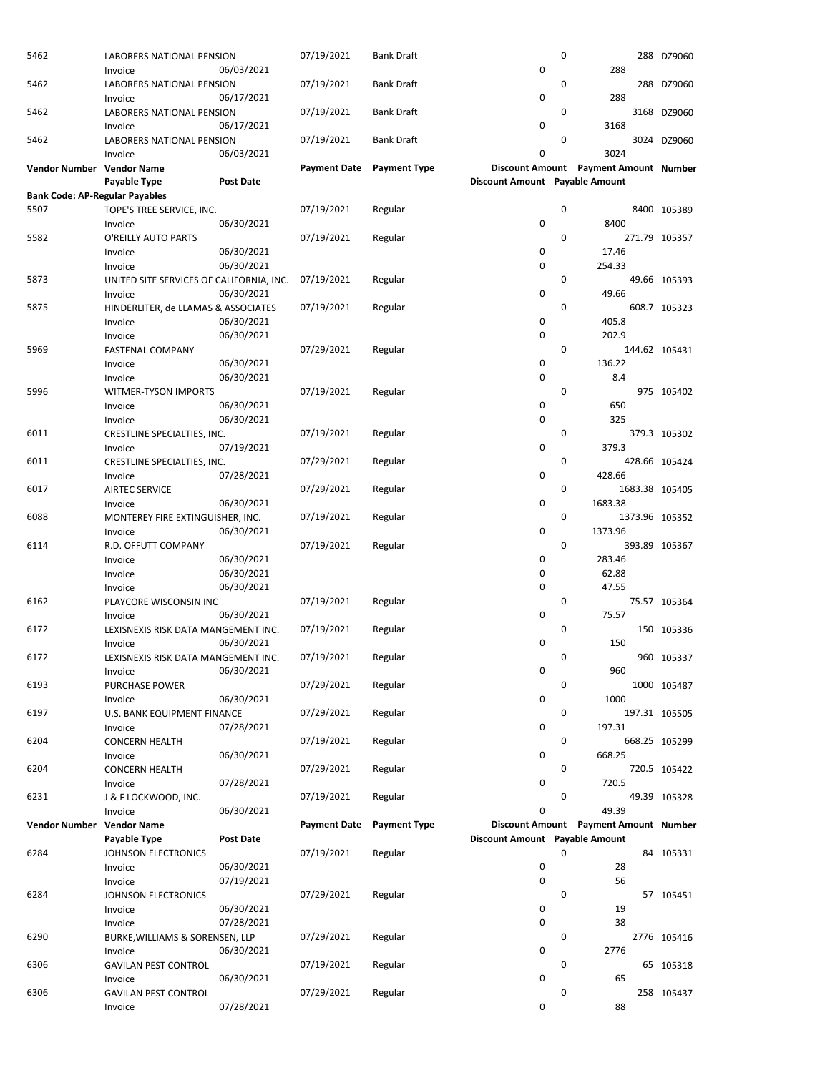| 5462                                  | LABORERS NATIONAL PENSION                | 06/03/2021 | 07/19/2021          | <b>Bank Draft</b>   | 0                              | 0           | 288                                   | 288 DZ9060    |
|---------------------------------------|------------------------------------------|------------|---------------------|---------------------|--------------------------------|-------------|---------------------------------------|---------------|
|                                       | Invoice                                  |            |                     |                     |                                |             |                                       |               |
| 5462                                  | LABORERS NATIONAL PENSION                |            | 07/19/2021          | <b>Bank Draft</b>   |                                | 0           |                                       | 288 DZ9060    |
|                                       | Invoice                                  | 06/17/2021 |                     |                     | 0                              |             | 288                                   |               |
| 5462                                  | LABORERS NATIONAL PENSION                |            | 07/19/2021          | Bank Draft          |                                | 0           |                                       | 3168 DZ9060   |
|                                       | Invoice                                  | 06/17/2021 |                     |                     | $\mathbf 0$                    |             | 3168                                  |               |
| 5462                                  | LABORERS NATIONAL PENSION                |            | 07/19/2021          | Bank Draft          |                                | 0           |                                       | 3024 DZ9060   |
|                                       | Invoice                                  | 06/03/2021 |                     |                     | 0                              |             | 3024                                  |               |
| Vendor Number Vendor Name             |                                          |            | <b>Payment Date</b> | <b>Payment Type</b> |                                |             | Discount Amount Payment Amount Number |               |
|                                       | Payable Type                             | Post Date  |                     |                     | Discount Amount Payable Amount |             |                                       |               |
| <b>Bank Code: AP-Regular Payables</b> |                                          |            |                     |                     |                                |             |                                       |               |
| 5507                                  | TOPE'S TREE SERVICE, INC.                |            | 07/19/2021          | Regular             |                                | 0           |                                       | 8400 105389   |
|                                       | Invoice                                  | 06/30/2021 |                     |                     | $\mathbf 0$                    |             | 8400                                  |               |
| 5582                                  | O'REILLY AUTO PARTS                      |            | 07/19/2021          | Regular             |                                | 0           |                                       | 271.79 105357 |
|                                       | Invoice                                  | 06/30/2021 |                     |                     | 0                              |             | 17.46                                 |               |
|                                       | Invoice                                  | 06/30/2021 |                     |                     | $\mathbf 0$                    |             | 254.33                                |               |
| 5873                                  | UNITED SITE SERVICES OF CALIFORNIA, INC. |            | 07/19/2021          | Regular             |                                | 0           |                                       | 49.66 105393  |
|                                       | Invoice                                  | 06/30/2021 |                     |                     | 0                              |             | 49.66                                 |               |
| 5875                                  | HINDERLITER, de LLAMAS & ASSOCIATES      |            | 07/19/2021          | Regular             |                                | 0           |                                       | 608.7 105323  |
|                                       | Invoice                                  | 06/30/2021 |                     |                     | 0                              |             | 405.8                                 |               |
|                                       | Invoice                                  | 06/30/2021 |                     |                     | 0                              |             | 202.9                                 |               |
| 5969                                  | <b>FASTENAL COMPANY</b>                  |            | 07/29/2021          | Regular             |                                | $\mathbf 0$ |                                       | 144.62 105431 |
|                                       | Invoice                                  | 06/30/2021 |                     |                     | 0                              |             | 136.22                                |               |
|                                       | Invoice                                  | 06/30/2021 |                     |                     | $\mathbf 0$                    |             | 8.4                                   |               |
| 5996                                  | WITMER-TYSON IMPORTS                     |            | 07/19/2021          | Regular             |                                | 0           |                                       | 975 105402    |
|                                       | Invoice                                  | 06/30/2021 |                     |                     | 0                              |             | 650                                   |               |
|                                       | Invoice                                  | 06/30/2021 |                     |                     | $\mathbf 0$                    |             | 325                                   |               |
| 6011                                  | CRESTLINE SPECIALTIES, INC.              |            | 07/19/2021          | Regular             |                                | 0           |                                       | 379.3 105302  |
|                                       | Invoice                                  | 07/19/2021 |                     |                     | $\mathbf 0$                    |             | 379.3                                 |               |
| 6011                                  | CRESTLINE SPECIALTIES, INC.              |            | 07/29/2021          | Regular             |                                | 0           |                                       | 428.66 105424 |
|                                       | Invoice                                  | 07/28/2021 |                     |                     | 0                              |             | 428.66                                |               |
| 6017                                  | <b>AIRTEC SERVICE</b>                    |            | 07/29/2021          | Regular             |                                | 0           | 1683.38 105405                        |               |
|                                       | Invoice                                  | 06/30/2021 |                     |                     | 0                              |             | 1683.38                               |               |
| 6088                                  | MONTEREY FIRE EXTINGUISHER, INC.         |            | 07/19/2021          | Regular             |                                | 0           | 1373.96 105352                        |               |
|                                       | Invoice                                  | 06/30/2021 |                     |                     | 0                              |             | 1373.96                               |               |
| 6114                                  | R.D. OFFUTT COMPANY                      |            | 07/19/2021          | Regular             |                                | 0           |                                       | 393.89 105367 |
|                                       | Invoice                                  | 06/30/2021 |                     |                     | 0                              |             | 283.46                                |               |
|                                       | Invoice                                  | 06/30/2021 |                     |                     | $\mathbf 0$                    |             | 62.88                                 |               |
|                                       | Invoice                                  | 06/30/2021 |                     |                     | 0                              |             | 47.55                                 |               |
| 6162                                  | PLAYCORE WISCONSIN INC                   |            | 07/19/2021          | Regular             |                                | 0           |                                       | 75.57 105364  |
|                                       | Invoice                                  | 06/30/2021 |                     |                     | $\mathbf 0$                    |             | 75.57                                 |               |
| 6172                                  | LEXISNEXIS RISK DATA MANGEMENT INC.      |            | 07/19/2021          | Regular             |                                | 0           |                                       | 150 105336    |
|                                       | Invoice                                  | 06/30/2021 |                     |                     | 0                              |             | 150                                   |               |
| 6172                                  | LEXISNEXIS RISK DATA MANGEMENT INC.      |            | 07/19/2021          | Regular             |                                | 0           |                                       | 960 105337    |
|                                       | Invoice                                  | 06/30/2021 |                     |                     | 0                              |             | 960                                   |               |
| 6193                                  | <b>PURCHASE POWER</b>                    |            | 07/29/2021          | Regular             |                                | 0           |                                       | 1000 105487   |
|                                       | Invoice                                  | 06/30/2021 |                     |                     | 0                              |             | 1000                                  |               |
| 6197                                  | U.S. BANK EQUIPMENT FINANCE              |            | 07/29/2021          | Regular             |                                | 0           |                                       | 197.31 105505 |
|                                       | Invoice                                  | 07/28/2021 |                     |                     | 0                              |             | 197.31                                |               |
| 6204                                  | <b>CONCERN HEALTH</b>                    |            | 07/19/2021          | Regular             |                                | 0           |                                       | 668.25 105299 |
|                                       | Invoice                                  | 06/30/2021 |                     |                     | 0                              |             | 668.25                                |               |
| 6204                                  | <b>CONCERN HEALTH</b>                    |            | 07/29/2021          | Regular             |                                | 0           |                                       | 720.5 105422  |
|                                       | Invoice                                  | 07/28/2021 |                     |                     | 0                              |             | 720.5                                 |               |
| 6231                                  | J & F LOCKWOOD, INC.                     |            | 07/19/2021          | Regular             |                                | 0           |                                       | 49.39 105328  |
|                                       | Invoice                                  | 06/30/2021 |                     |                     | 0                              |             | 49.39                                 |               |
| Vendor Number                         | <b>Vendor Name</b>                       |            | <b>Payment Date</b> | <b>Payment Type</b> |                                |             | Discount Amount Payment Amount Number |               |
|                                       | Payable Type                             | Post Date  |                     |                     | Discount Amount Payable Amount |             |                                       |               |
| 6284                                  | JOHNSON ELECTRONICS                      |            | 07/19/2021          | Regular             |                                | 0           |                                       | 84 105331     |
|                                       | Invoice                                  | 06/30/2021 |                     |                     | 0                              |             | 28                                    |               |
|                                       | Invoice                                  | 07/19/2021 |                     |                     | 0                              |             | 56                                    |               |
| 6284                                  | <b>JOHNSON ELECTRONICS</b>               |            | 07/29/2021          | Regular             |                                | 0           |                                       | 57 105451     |
|                                       | Invoice                                  | 06/30/2021 |                     |                     | 0                              |             | 19                                    |               |
|                                       | Invoice                                  | 07/28/2021 |                     |                     | 0                              |             | 38                                    |               |
| 6290                                  | BURKE, WILLIAMS & SORENSEN, LLP          |            | 07/29/2021          | Regular             |                                | 0           |                                       | 2776 105416   |
|                                       | Invoice                                  | 06/30/2021 |                     |                     | 0                              |             | 2776                                  |               |
| 6306                                  | <b>GAVILAN PEST CONTROL</b>              |            | 07/19/2021          | Regular             |                                | 0           |                                       | 65 105318     |
|                                       | Invoice                                  | 06/30/2021 |                     |                     | 0                              |             | 65                                    |               |
| 6306                                  | <b>GAVILAN PEST CONTROL</b>              |            | 07/29/2021          | Regular             |                                | 0           |                                       | 258 105437    |
|                                       | Invoice                                  | 07/28/2021 |                     |                     | 0                              |             | 88                                    |               |
|                                       |                                          |            |                     |                     |                                |             |                                       |               |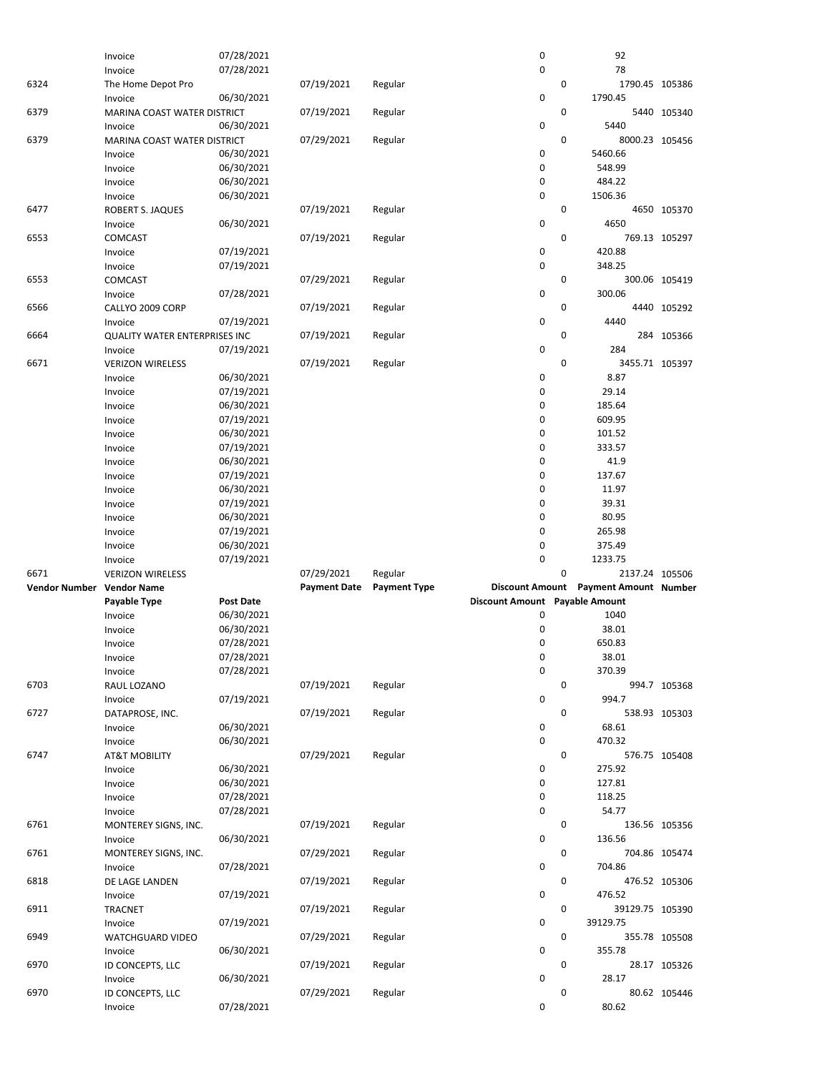|                           | Invoice                              | 07/28/2021       |                     |                     | 0                              |             | 92                                    |               |
|---------------------------|--------------------------------------|------------------|---------------------|---------------------|--------------------------------|-------------|---------------------------------------|---------------|
|                           | Invoice                              | 07/28/2021       |                     |                     | 0                              |             | 78                                    |               |
| 6324                      | The Home Depot Pro                   |                  | 07/19/2021          | Regular             |                                | 0           | 1790.45 105386                        |               |
|                           | Invoice                              | 06/30/2021       |                     |                     | 0                              |             | 1790.45                               |               |
| 6379                      | MARINA COAST WATER DISTRICT          |                  | 07/19/2021          | Regular             |                                | 0           |                                       | 5440 105340   |
|                           | Invoice                              | 06/30/2021       |                     |                     | 0                              |             | 5440                                  |               |
| 6379                      | MARINA COAST WATER DISTRICT          |                  | 07/29/2021          | Regular             |                                | $\mathbf 0$ | 8000.23 105456                        |               |
|                           | Invoice                              | 06/30/2021       |                     |                     | 0                              |             | 5460.66                               |               |
|                           |                                      |                  |                     |                     | 0                              |             |                                       |               |
|                           | Invoice                              | 06/30/2021       |                     |                     |                                |             | 548.99                                |               |
|                           | Invoice                              | 06/30/2021       |                     |                     | 0                              |             | 484.22                                |               |
|                           | Invoice                              | 06/30/2021       |                     |                     | 0                              |             | 1506.36                               |               |
| 6477                      | <b>ROBERT S. JAQUES</b>              |                  | 07/19/2021          | Regular             |                                | 0           |                                       | 4650 105370   |
|                           | Invoice                              | 06/30/2021       |                     |                     | 0                              |             | 4650                                  |               |
| 6553                      | <b>COMCAST</b>                       |                  | 07/19/2021          | Regular             |                                | $\mathbf 0$ |                                       | 769.13 105297 |
|                           | Invoice                              | 07/19/2021       |                     |                     | 0                              |             | 420.88                                |               |
|                           | Invoice                              | 07/19/2021       |                     |                     | 0                              |             | 348.25                                |               |
| 6553                      | <b>COMCAST</b>                       |                  | 07/29/2021          | Regular             |                                | 0           |                                       | 300.06 105419 |
|                           | Invoice                              | 07/28/2021       |                     |                     | 0                              |             | 300.06                                |               |
| 6566                      | CALLYO 2009 CORP                     |                  | 07/19/2021          | Regular             |                                | 0           |                                       | 4440 105292   |
|                           | Invoice                              | 07/19/2021       |                     |                     | $\pmb{0}$                      |             | 4440                                  |               |
| 6664                      |                                      |                  | 07/19/2021          |                     |                                | $\mathbf 0$ |                                       |               |
|                           | <b>QUALITY WATER ENTERPRISES INC</b> |                  |                     | Regular             |                                |             |                                       | 284 105366    |
|                           | Invoice                              | 07/19/2021       |                     |                     | 0                              |             | 284                                   |               |
| 6671                      | <b>VERIZON WIRELESS</b>              |                  | 07/19/2021          | Regular             |                                | 0           | 3455.71 105397                        |               |
|                           | Invoice                              | 06/30/2021       |                     |                     | 0                              |             | 8.87                                  |               |
|                           | Invoice                              | 07/19/2021       |                     |                     | 0                              |             | 29.14                                 |               |
|                           | Invoice                              | 06/30/2021       |                     |                     | 0                              |             | 185.64                                |               |
|                           | Invoice                              | 07/19/2021       |                     |                     | 0                              |             | 609.95                                |               |
|                           | Invoice                              | 06/30/2021       |                     |                     | 0                              |             | 101.52                                |               |
|                           | Invoice                              | 07/19/2021       |                     |                     | 0                              |             | 333.57                                |               |
|                           | Invoice                              | 06/30/2021       |                     |                     | 0                              |             | 41.9                                  |               |
|                           | Invoice                              | 07/19/2021       |                     |                     | 0                              |             | 137.67                                |               |
|                           | Invoice                              | 06/30/2021       |                     |                     | 0                              |             | 11.97                                 |               |
|                           |                                      | 07/19/2021       |                     |                     | 0                              |             | 39.31                                 |               |
|                           | Invoice                              |                  |                     |                     |                                |             |                                       |               |
|                           | Invoice                              | 06/30/2021       |                     |                     | 0                              |             | 80.95                                 |               |
|                           |                                      |                  |                     |                     |                                |             |                                       |               |
|                           | Invoice                              | 07/19/2021       |                     |                     | 0                              |             | 265.98                                |               |
|                           | Invoice                              | 06/30/2021       |                     |                     | 0                              |             | 375.49                                |               |
|                           | Invoice                              | 07/19/2021       |                     |                     | 0                              |             | 1233.75                               |               |
| 6671                      | <b>VERIZON WIRELESS</b>              |                  | 07/29/2021          | Regular             |                                | 0           | 2137.24 105506                        |               |
| Vendor Number Vendor Name |                                      |                  | <b>Payment Date</b> | <b>Payment Type</b> |                                |             | Discount Amount Payment Amount Number |               |
|                           | Payable Type                         | <b>Post Date</b> |                     |                     | Discount Amount Payable Amount |             |                                       |               |
|                           | Invoice                              | 06/30/2021       |                     |                     | 0                              |             | 1040                                  |               |
|                           | Invoice                              | 06/30/2021       |                     |                     | 0                              |             | 38.01                                 |               |
|                           |                                      | 07/28/2021       |                     |                     | 0                              |             | 650.83                                |               |
|                           | Invoice                              |                  |                     |                     |                                |             |                                       |               |
|                           | Invoice                              | 07/28/2021       |                     |                     | 0                              |             | 38.01                                 |               |
|                           | Invoice                              | 07/28/2021       |                     |                     | 0                              |             | 370.39                                |               |
| 6703                      | RAUL LOZANO                          |                  | 07/19/2021          | Regular             |                                | $\mathbf 0$ |                                       | 994.7 105368  |
|                           | Invoice                              | 07/19/2021       |                     |                     | 0                              |             | 994.7                                 |               |
| 6727                      | DATAPROSE, INC.                      |                  | 07/19/2021          | Regular             |                                | 0           |                                       | 538.93 105303 |
|                           | Invoice                              | 06/30/2021       |                     |                     | 0                              |             | 68.61                                 |               |
|                           | Invoice                              | 06/30/2021       |                     |                     | 0                              |             | 470.32                                |               |
| 6747                      | <b>AT&amp;T MOBILITY</b>             |                  | 07/29/2021          | Regular             |                                | 0           |                                       | 576.75 105408 |
|                           | Invoice                              | 06/30/2021       |                     |                     | 0                              |             | 275.92                                |               |
|                           | Invoice                              | 06/30/2021       |                     |                     | 0                              |             | 127.81                                |               |
|                           | Invoice                              | 07/28/2021       |                     |                     | 0                              |             | 118.25                                |               |
|                           | Invoice                              | 07/28/2021       |                     |                     | 0                              |             | 54.77                                 |               |
| 6761                      |                                      |                  | 07/19/2021          | Regular             |                                | 0           |                                       |               |
|                           | MONTEREY SIGNS, INC.                 |                  |                     |                     |                                |             |                                       | 136.56 105356 |
|                           | Invoice                              | 06/30/2021       |                     |                     | 0                              | 0           | 136.56                                |               |
| 6761                      | MONTEREY SIGNS, INC.                 |                  | 07/29/2021          | Regular             |                                |             |                                       | 704.86 105474 |
|                           | Invoice                              | 07/28/2021       |                     |                     | 0                              |             | 704.86                                |               |
| 6818                      | DE LAGE LANDEN                       |                  | 07/19/2021          | Regular             |                                | 0           |                                       | 476.52 105306 |
|                           | Invoice                              | 07/19/2021       |                     |                     | 0                              |             | 476.52                                |               |
| 6911                      | <b>TRACNET</b>                       |                  | 07/19/2021          | Regular             |                                | 0           | 39129.75 105390                       |               |
|                           | Invoice                              | 07/19/2021       |                     |                     | 0                              |             | 39129.75                              |               |
| 6949                      | <b>WATCHGUARD VIDEO</b>              |                  | 07/29/2021          | Regular             |                                | 0           |                                       | 355.78 105508 |
|                           | Invoice                              | 06/30/2021       |                     |                     | 0                              |             | 355.78                                |               |
| 6970                      | ID CONCEPTS, LLC                     |                  | 07/19/2021          | Regular             |                                | 0           |                                       | 28.17 105326  |
|                           | Invoice                              | 06/30/2021       |                     |                     | 0                              |             | 28.17                                 |               |
| 6970                      | ID CONCEPTS, LLC                     | 07/28/2021       | 07/29/2021          | Regular             |                                | 0           |                                       | 80.62 105446  |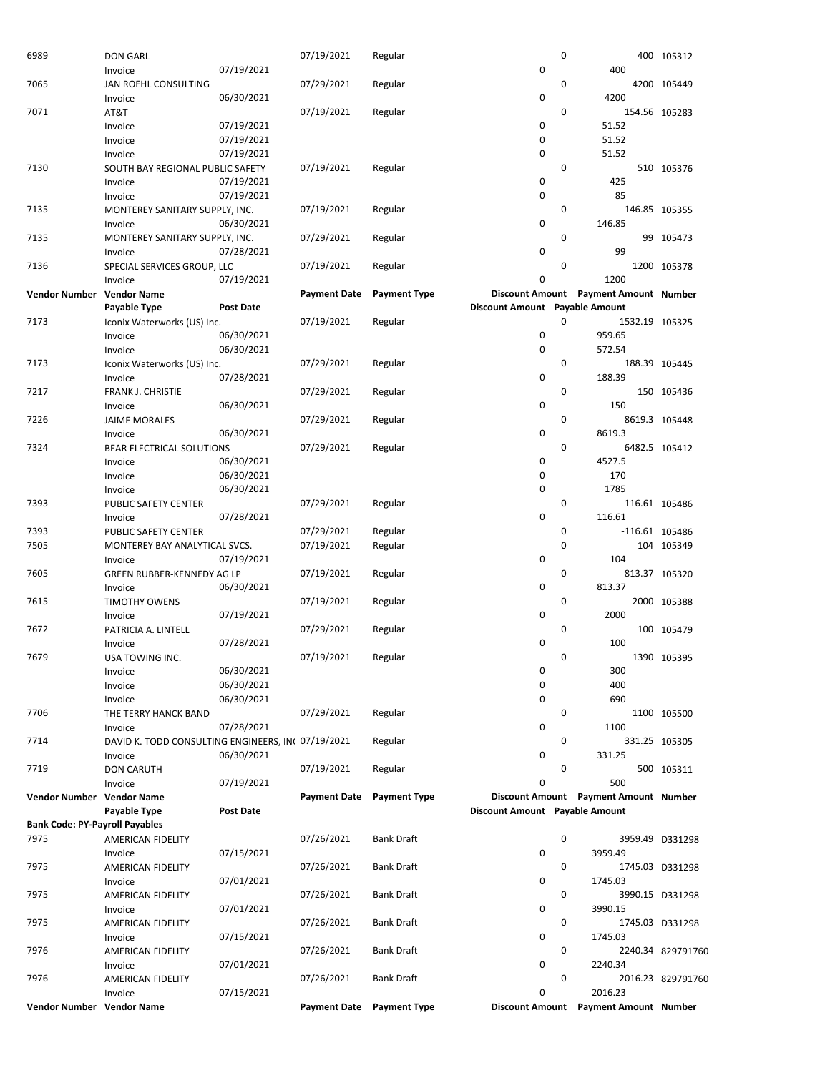| 6989                                  | <b>DON GARL</b>                                              |                          | 07/19/2021          | Regular             |                                | 0           |                                       | 400 105312        |
|---------------------------------------|--------------------------------------------------------------|--------------------------|---------------------|---------------------|--------------------------------|-------------|---------------------------------------|-------------------|
|                                       | Invoice                                                      | 07/19/2021               |                     |                     | 0                              |             | 400                                   |                   |
| 7065                                  | <b>JAN ROEHL CONSULTING</b>                                  |                          | 07/29/2021          | Regular             |                                | $\mathbf 0$ |                                       | 4200 105449       |
|                                       | Invoice                                                      | 06/30/2021               |                     |                     | 0                              |             | 4200                                  |                   |
| 7071                                  | AT&T                                                         |                          | 07/19/2021          | Regular             |                                | 0           |                                       | 154.56 105283     |
|                                       | Invoice                                                      | 07/19/2021<br>07/19/2021 |                     |                     | 0<br>0                         |             | 51.52<br>51.52                        |                   |
|                                       | Invoice<br>Invoice                                           | 07/19/2021               |                     |                     | 0                              |             | 51.52                                 |                   |
| 7130                                  | SOUTH BAY REGIONAL PUBLIC SAFETY                             |                          | 07/19/2021          | Regular             |                                | $\mathbf 0$ |                                       | 510 105376        |
|                                       | Invoice                                                      | 07/19/2021               |                     |                     | 0                              |             | 425                                   |                   |
|                                       | Invoice                                                      | 07/19/2021               |                     |                     | 0                              |             | 85                                    |                   |
| 7135                                  | MONTEREY SANITARY SUPPLY, INC.                               |                          | 07/19/2021          | Regular             |                                | 0           |                                       | 146.85 105355     |
|                                       | Invoice                                                      | 06/30/2021               |                     |                     | 0                              |             | 146.85                                |                   |
| 7135                                  | MONTEREY SANITARY SUPPLY, INC.                               |                          | 07/29/2021          | Regular             |                                | 0           |                                       | 99 105473         |
|                                       | Invoice                                                      | 07/28/2021               |                     |                     | 0                              |             | 99                                    |                   |
| 7136                                  | SPECIAL SERVICES GROUP, LLC                                  |                          | 07/19/2021          | Regular             |                                | 0           |                                       | 1200 105378       |
|                                       | Invoice                                                      | 07/19/2021               |                     |                     | 0                              |             | 1200                                  |                   |
| Vendor Number Vendor Name             |                                                              |                          | <b>Payment Date</b> | <b>Payment Type</b> |                                |             | Discount Amount Payment Amount Number |                   |
|                                       | Payable Type                                                 | Post Date                |                     |                     | Discount Amount Payable Amount |             |                                       |                   |
| 7173                                  | Iconix Waterworks (US) Inc.                                  | 06/30/2021               | 07/19/2021          | Regular             | 0                              | 0           | 1532.19 105325<br>959.65              |                   |
|                                       | Invoice<br>Invoice                                           | 06/30/2021               |                     |                     | 0                              |             | 572.54                                |                   |
| 7173                                  | Iconix Waterworks (US) Inc.                                  |                          | 07/29/2021          | Regular             |                                | 0           |                                       | 188.39 105445     |
|                                       | Invoice                                                      | 07/28/2021               |                     |                     | 0                              |             | 188.39                                |                   |
| 7217                                  | FRANK J. CHRISTIE                                            |                          | 07/29/2021          | Regular             |                                | 0           |                                       | 150 105436        |
|                                       | Invoice                                                      | 06/30/2021               |                     |                     | 0                              |             | 150                                   |                   |
| 7226                                  | <b>JAIME MORALES</b>                                         |                          | 07/29/2021          | Regular             |                                | $\mathbf 0$ |                                       | 8619.3 105448     |
|                                       | Invoice                                                      | 06/30/2021               |                     |                     | 0                              |             | 8619.3                                |                   |
| 7324                                  | BEAR ELECTRICAL SOLUTIONS                                    |                          | 07/29/2021          | Regular             |                                | 0           |                                       | 6482.5 105412     |
|                                       | Invoice                                                      | 06/30/2021               |                     |                     | 0                              |             | 4527.5                                |                   |
|                                       | Invoice                                                      | 06/30/2021               |                     |                     | 0                              |             | 170                                   |                   |
|                                       | Invoice                                                      | 06/30/2021               |                     |                     | 0                              |             | 1785                                  |                   |
| 7393                                  | PUBLIC SAFETY CENTER                                         |                          | 07/29/2021          | Regular             |                                | 0           |                                       | 116.61 105486     |
|                                       | Invoice                                                      | 07/28/2021               |                     |                     | 0                              |             | 116.61                                |                   |
| 7393                                  | PUBLIC SAFETY CENTER                                         |                          | 07/29/2021          | Regular             |                                | 0<br>0      | $-116.61$ 105486                      |                   |
| 7505                                  | MONTEREY BAY ANALYTICAL SVCS.<br>Invoice                     | 07/19/2021               | 07/19/2021          | Regular             | 0                              |             | 104                                   | 104 105349        |
| 7605                                  | GREEN RUBBER-KENNEDY AG LP                                   |                          | 07/19/2021          | Regular             |                                | 0           |                                       | 813.37 105320     |
|                                       | Invoice                                                      | 06/30/2021               |                     |                     | 0                              |             | 813.37                                |                   |
| 7615                                  | <b>TIMOTHY OWENS</b>                                         |                          | 07/19/2021          | Regular             |                                | 0           |                                       | 2000 105388       |
|                                       | Invoice                                                      | 07/19/2021               |                     |                     | 0                              |             | 2000                                  |                   |
| 7672                                  | PATRICIA A. LINTELL                                          |                          | 07/29/2021          | Regular             |                                | 0           |                                       | 100 105479        |
|                                       | Invoice                                                      | 07/28/2021               |                     |                     | 0                              |             | 100                                   |                   |
| 7679                                  | USA TOWING INC.                                              |                          | 07/19/2021          | Regular             |                                | 0           |                                       | 1390 105395       |
|                                       | Invoice                                                      | 06/30/2021               |                     |                     | 0                              |             | 300                                   |                   |
|                                       | Invoice                                                      | 06/30/2021               |                     |                     | 0                              |             | 400                                   |                   |
|                                       | Invoice                                                      | 06/30/2021               |                     |                     | 0                              |             | 690                                   |                   |
| 7706                                  | THE TERRY HANCK BAND                                         |                          | 07/29/2021          | Regular             |                                | 0           |                                       | 1100 105500       |
| 7714                                  | Invoice                                                      | 07/28/2021               |                     | Regular             | 0                              | 0           | 1100                                  | 331.25 105305     |
|                                       | DAVID K. TODD CONSULTING ENGINEERS, IN 07/19/2021<br>Invoice | 06/30/2021               |                     |                     | 0                              |             | 331.25                                |                   |
| 7719                                  | <b>DON CARUTH</b>                                            |                          | 07/19/2021          | Regular             |                                | 0           |                                       | 500 105311        |
|                                       | Invoice                                                      | 07/19/2021               |                     |                     | 0                              |             | 500                                   |                   |
| Vendor Number Vendor Name             |                                                              |                          | <b>Payment Date</b> | <b>Payment Type</b> |                                |             | Discount Amount Payment Amount Number |                   |
|                                       | <b>Payable Type</b>                                          | <b>Post Date</b>         |                     |                     | Discount Amount Payable Amount |             |                                       |                   |
| <b>Bank Code: PY-Payroll Payables</b> |                                                              |                          |                     |                     |                                |             |                                       |                   |
| 7975                                  | AMERICAN FIDELITY                                            |                          | 07/26/2021          | <b>Bank Draft</b>   |                                | 0           |                                       | 3959.49 D331298   |
|                                       | Invoice                                                      | 07/15/2021               |                     |                     | 0                              |             | 3959.49                               |                   |
| 7975                                  | AMERICAN FIDELITY                                            |                          | 07/26/2021          | <b>Bank Draft</b>   |                                | 0           |                                       | 1745.03 D331298   |
|                                       | Invoice                                                      | 07/01/2021               |                     |                     | 0                              |             | 1745.03                               |                   |
| 7975                                  | AMERICAN FIDELITY                                            |                          | 07/26/2021          | <b>Bank Draft</b>   |                                | 0           |                                       | 3990.15 D331298   |
| 7975                                  | Invoice<br>AMERICAN FIDELITY                                 | 07/01/2021               | 07/26/2021          | <b>Bank Draft</b>   | 0                              | 0           | 3990.15                               | 1745.03 D331298   |
|                                       | Invoice                                                      | 07/15/2021               |                     |                     | $\pmb{0}$                      |             | 1745.03                               |                   |
| 7976                                  | AMERICAN FIDELITY                                            |                          | 07/26/2021          | <b>Bank Draft</b>   |                                | 0           |                                       | 2240.34 829791760 |
|                                       | Invoice                                                      | 07/01/2021               |                     |                     | 0                              |             | 2240.34                               |                   |
| 7976                                  | AMERICAN FIDELITY                                            |                          | 07/26/2021          | <b>Bank Draft</b>   |                                | 0           |                                       | 2016.23 829791760 |
|                                       | Invoice                                                      | 07/15/2021               |                     |                     | 0                              |             | 2016.23                               |                   |
| Vendor Number Vendor Name             |                                                              |                          | <b>Payment Date</b> | <b>Payment Type</b> |                                |             | Discount Amount Payment Amount Number |                   |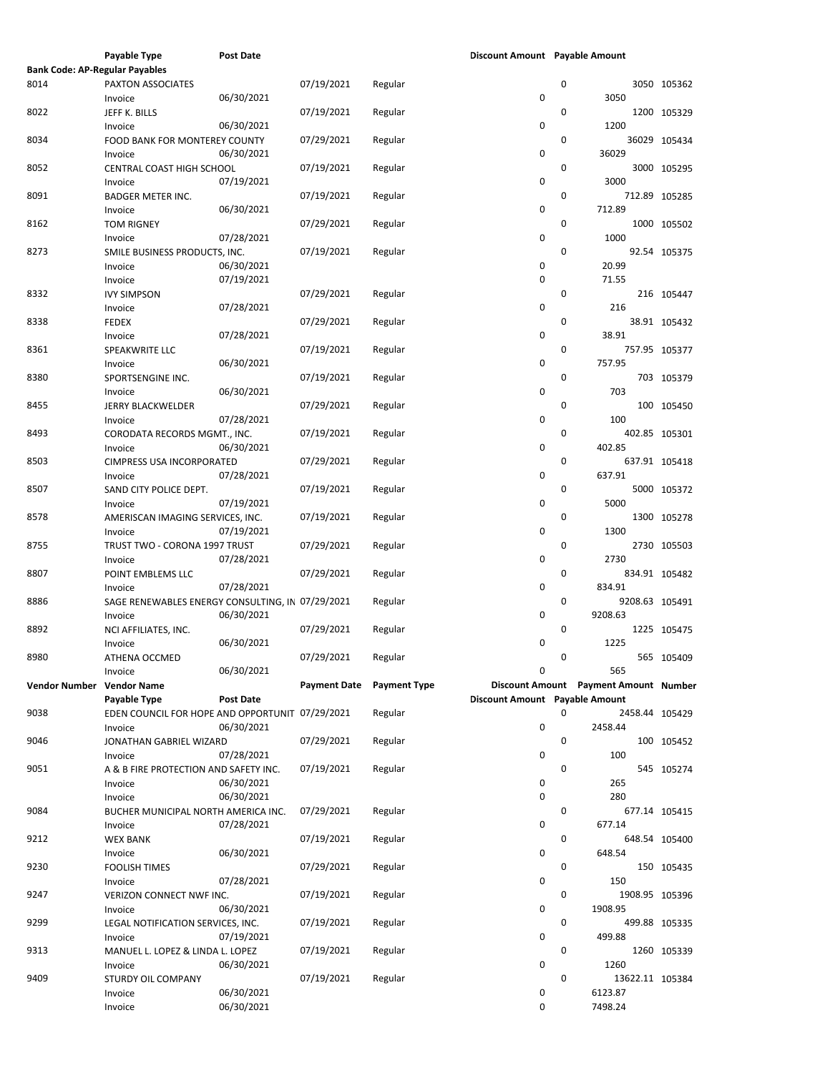|                                       | Payable Type                                     | <b>Post Date</b> |                     |                     | Discount Amount Payable Amount |   |                                       |               |
|---------------------------------------|--------------------------------------------------|------------------|---------------------|---------------------|--------------------------------|---|---------------------------------------|---------------|
| <b>Bank Code: AP-Regular Payables</b> |                                                  |                  |                     |                     |                                |   |                                       |               |
| 8014                                  | PAXTON ASSOCIATES                                |                  | 07/19/2021          | Regular             |                                | 0 |                                       | 3050 105362   |
|                                       | Invoice                                          | 06/30/2021       |                     |                     | 0                              |   | 3050                                  |               |
|                                       |                                                  |                  |                     |                     |                                |   |                                       |               |
| 8022                                  | JEFF K. BILLS                                    |                  | 07/19/2021          | Regular             |                                | 0 |                                       | 1200 105329   |
|                                       | Invoice                                          | 06/30/2021       |                     |                     | 0                              |   | 1200                                  |               |
| 8034                                  | <b>FOOD BANK FOR MONTEREY COUNTY</b>             |                  | 07/29/2021          | Regular             |                                | 0 |                                       | 36029 105434  |
|                                       | Invoice                                          | 06/30/2021       |                     |                     | 0                              |   | 36029                                 |               |
|                                       |                                                  |                  |                     |                     |                                | 0 |                                       |               |
| 8052                                  | CENTRAL COAST HIGH SCHOOL                        |                  | 07/19/2021          | Regular             |                                |   |                                       | 3000 105295   |
|                                       | Invoice                                          | 07/19/2021       |                     |                     | 0                              |   | 3000                                  |               |
| 8091                                  | <b>BADGER METER INC.</b>                         |                  | 07/19/2021          | Regular             |                                | 0 |                                       | 712.89 105285 |
|                                       | Invoice                                          | 06/30/2021       |                     |                     | 0                              |   | 712.89                                |               |
| 8162                                  | <b>TOM RIGNEY</b>                                |                  | 07/29/2021          | Regular             |                                | 0 |                                       | 1000 105502   |
|                                       |                                                  |                  |                     |                     |                                |   |                                       |               |
|                                       | Invoice                                          | 07/28/2021       |                     |                     | 0                              |   | 1000                                  |               |
| 8273                                  | SMILE BUSINESS PRODUCTS, INC.                    |                  | 07/19/2021          | Regular             |                                | 0 |                                       | 92.54 105375  |
|                                       | Invoice                                          | 06/30/2021       |                     |                     | 0                              |   | 20.99                                 |               |
|                                       | Invoice                                          | 07/19/2021       |                     |                     | 0                              |   | 71.55                                 |               |
| 8332                                  | <b>IVY SIMPSON</b>                               |                  | 07/29/2021          |                     |                                | 0 |                                       | 216 105447    |
|                                       |                                                  |                  |                     | Regular             |                                |   |                                       |               |
|                                       | Invoice                                          | 07/28/2021       |                     |                     | 0                              |   | 216                                   |               |
| 8338                                  | <b>FEDEX</b>                                     |                  | 07/29/2021          | Regular             |                                | 0 |                                       | 38.91 105432  |
|                                       | Invoice                                          | 07/28/2021       |                     |                     | 0                              |   | 38.91                                 |               |
| 8361                                  | SPEAKWRITE LLC                                   |                  | 07/19/2021          | Regular             |                                | 0 |                                       | 757.95 105377 |
|                                       |                                                  |                  |                     |                     |                                |   |                                       |               |
|                                       | Invoice                                          | 06/30/2021       |                     |                     | 0                              |   | 757.95                                |               |
| 8380                                  | SPORTSENGINE INC.                                |                  | 07/19/2021          | Regular             |                                | 0 |                                       | 703 105379    |
|                                       | Invoice                                          | 06/30/2021       |                     |                     | 0                              |   | 703                                   |               |
| 8455                                  | <b>JERRY BLACKWELDER</b>                         |                  | 07/29/2021          | Regular             |                                | 0 |                                       | 100 105450    |
|                                       |                                                  | 07/28/2021       |                     |                     | 0                              |   | 100                                   |               |
|                                       | Invoice                                          |                  |                     |                     |                                |   |                                       |               |
| 8493                                  | CORODATA RECORDS MGMT., INC.                     |                  | 07/19/2021          | Regular             |                                | 0 |                                       | 402.85 105301 |
|                                       | Invoice                                          | 06/30/2021       |                     |                     | 0                              |   | 402.85                                |               |
| 8503                                  | CIMPRESS USA INCORPORATED                        |                  | 07/29/2021          | Regular             |                                | 0 |                                       | 637.91 105418 |
|                                       |                                                  | 07/28/2021       |                     |                     | 0                              |   | 637.91                                |               |
|                                       | Invoice                                          |                  |                     |                     |                                |   |                                       |               |
| 8507                                  | SAND CITY POLICE DEPT.                           |                  | 07/19/2021          | Regular             |                                | 0 |                                       | 5000 105372   |
|                                       | Invoice                                          | 07/19/2021       |                     |                     | 0                              |   | 5000                                  |               |
| 8578                                  | AMERISCAN IMAGING SERVICES, INC.                 |                  | 07/19/2021          | Regular             |                                | 0 |                                       | 1300 105278   |
|                                       |                                                  | 07/19/2021       |                     |                     | 0                              |   | 1300                                  |               |
|                                       | Invoice                                          |                  |                     |                     |                                |   |                                       |               |
| 8755                                  | TRUST TWO - CORONA 1997 TRUST                    |                  | 07/29/2021          | Regular             |                                | 0 |                                       | 2730 105503   |
|                                       | Invoice                                          | 07/28/2021       |                     |                     | 0                              |   | 2730                                  |               |
| 8807                                  | POINT EMBLEMS LLC                                |                  | 07/29/2021          | Regular             |                                | 0 |                                       | 834.91 105482 |
|                                       |                                                  | 07/28/2021       |                     |                     | 0                              |   | 834.91                                |               |
|                                       | Invoice                                          |                  |                     |                     |                                |   |                                       |               |
| 8886                                  | SAGE RENEWABLES ENERGY CONSULTING, IN 07/29/2021 |                  |                     | Regular             |                                | 0 | 9208.63 105491                        |               |
|                                       | Invoice                                          | 06/30/2021       |                     |                     | 0                              |   | 9208.63                               |               |
| 8892                                  | NCI AFFILIATES, INC.                             |                  | 07/29/2021          | Regular             |                                | 0 |                                       | 1225 105475   |
|                                       | Invoice                                          | 06/30/2021       |                     |                     | 0                              |   | 1225                                  |               |
|                                       |                                                  |                  |                     |                     |                                |   |                                       |               |
| 8980                                  | ATHENA OCCMED                                    |                  | 07/29/2021          | Regular             |                                | 0 |                                       | 565 105409    |
|                                       | Invoice                                          | 06/30/2021       |                     |                     | 0                              |   | 565                                   |               |
| Vendor Number Vendor Name             |                                                  |                  | <b>Payment Date</b> | <b>Payment Type</b> |                                |   | Discount Amount Payment Amount Number |               |
|                                       | Payable Type                                     | <b>Post Date</b> |                     |                     | Discount Amount Payable Amount |   |                                       |               |
|                                       |                                                  |                  |                     |                     |                                |   |                                       |               |
| 9038                                  | EDEN COUNCIL FOR HOPE AND OPPORTUNIT 07/29/2021  |                  |                     | Regular             |                                | 0 | 2458.44 105429                        |               |
|                                       | Invoice                                          | 06/30/2021       |                     |                     | 0                              |   | 2458.44                               |               |
| 9046                                  | JONATHAN GABRIEL WIZARD                          |                  | 07/29/2021          | Regular             |                                | 0 |                                       | 100 105452    |
|                                       | Invoice                                          | 07/28/2021       |                     |                     | 0                              |   | 100                                   |               |
|                                       |                                                  |                  |                     |                     |                                | 0 |                                       |               |
| 9051                                  | A & B FIRE PROTECTION AND SAFETY INC.            |                  | 07/19/2021          | Regular             |                                |   |                                       | 545 105274    |
|                                       | Invoice                                          | 06/30/2021       |                     |                     | 0                              |   | 265                                   |               |
|                                       | Invoice                                          | 06/30/2021       |                     |                     | 0                              |   | 280                                   |               |
| 9084                                  | BUCHER MUNICIPAL NORTH AMERICA INC.              |                  | 07/29/2021          | Regular             |                                | 0 |                                       | 677.14 105415 |
|                                       |                                                  | 07/28/2021       |                     |                     | 0                              |   | 677.14                                |               |
|                                       | Invoice                                          |                  |                     |                     |                                |   |                                       |               |
| 9212                                  | <b>WEX BANK</b>                                  |                  | 07/19/2021          | Regular             |                                | 0 |                                       | 648.54 105400 |
|                                       | Invoice                                          | 06/30/2021       |                     |                     | 0                              |   | 648.54                                |               |
| 9230                                  | <b>FOOLISH TIMES</b>                             |                  | 07/29/2021          | Regular             |                                | 0 |                                       | 150 105435    |
|                                       | Invoice                                          | 07/28/2021       |                     |                     | 0                              |   | 150                                   |               |
|                                       |                                                  |                  |                     |                     |                                |   |                                       |               |
| 9247                                  | VERIZON CONNECT NWF INC.                         |                  | 07/19/2021          | Regular             |                                | 0 | 1908.95 105396                        |               |
|                                       | Invoice                                          | 06/30/2021       |                     |                     | 0                              |   | 1908.95                               |               |
| 9299                                  | LEGAL NOTIFICATION SERVICES, INC.                |                  | 07/19/2021          | Regular             |                                | 0 |                                       | 499.88 105335 |
|                                       | Invoice                                          | 07/19/2021       |                     |                     | 0                              |   | 499.88                                |               |
| 9313                                  |                                                  |                  | 07/19/2021          |                     |                                | 0 |                                       | 1260 105339   |
|                                       | MANUEL L. LOPEZ & LINDA L. LOPEZ                 |                  |                     | Regular             |                                |   |                                       |               |
|                                       | Invoice                                          | 06/30/2021       |                     |                     | 0                              |   | 1260                                  |               |
| 9409                                  | STURDY OIL COMPANY                               |                  | 07/19/2021          | Regular             |                                | 0 | 13622.11 105384                       |               |
|                                       | Invoice                                          | 06/30/2021       |                     |                     | 0                              |   | 6123.87                               |               |
|                                       | Invoice                                          | 06/30/2021       |                     |                     | 0                              |   | 7498.24                               |               |
|                                       |                                                  |                  |                     |                     |                                |   |                                       |               |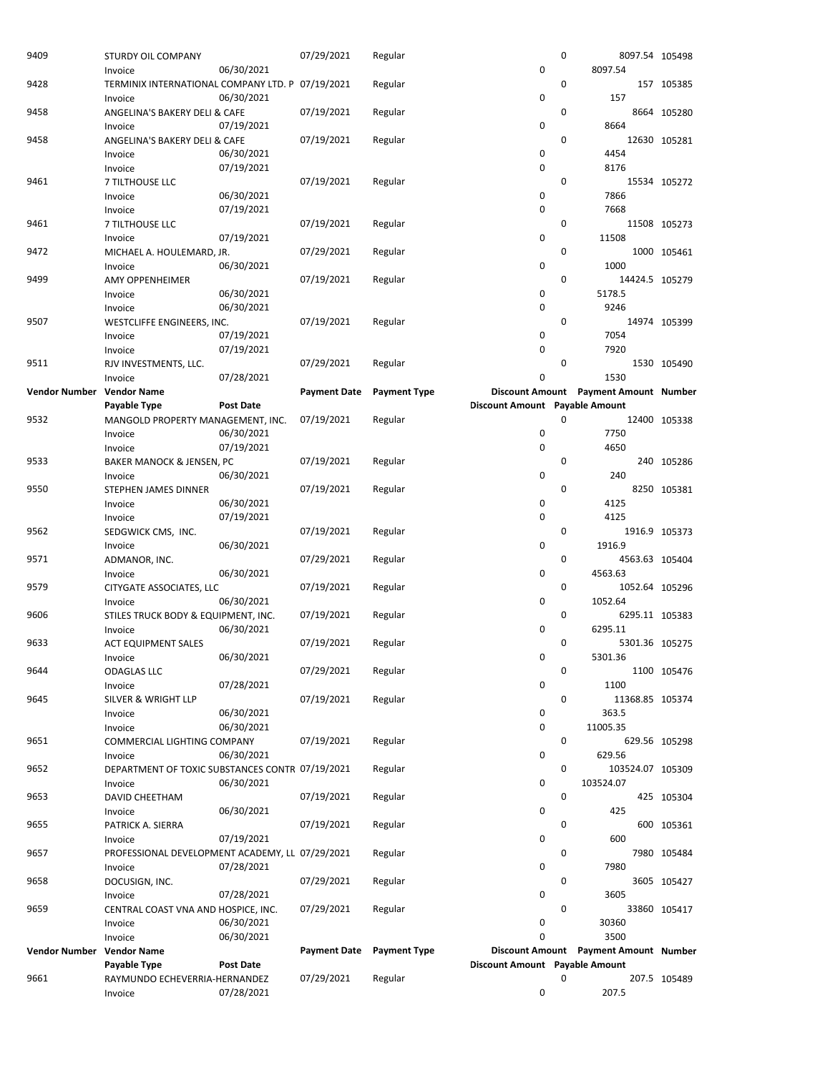| 9409                      | STURDY OIL COMPANY                               |                  | 07/29/2021          | Regular             |                                | $\mathbf 0$ | 8097.54 105498                        |               |
|---------------------------|--------------------------------------------------|------------------|---------------------|---------------------|--------------------------------|-------------|---------------------------------------|---------------|
|                           | Invoice                                          | 06/30/2021       |                     |                     | 0                              |             | 8097.54                               |               |
| 9428                      | TERMINIX INTERNATIONAL COMPANY LTD. P 07/19/2021 |                  |                     | Regular             |                                | 0           |                                       | 157 105385    |
|                           | Invoice                                          | 06/30/2021       |                     |                     | 0                              |             | 157                                   |               |
| 9458                      | ANGELINA'S BAKERY DELI & CAFE                    |                  | 07/19/2021          | Regular             |                                | 0           |                                       | 8664 105280   |
|                           | Invoice                                          | 07/19/2021       |                     |                     | 0                              |             | 8664                                  |               |
| 9458                      | ANGELINA'S BAKERY DELI & CAFE                    |                  | 07/19/2021          | Regular             |                                | 0           |                                       | 12630 105281  |
|                           | Invoice                                          | 06/30/2021       |                     |                     | 0                              |             | 4454                                  |               |
|                           | Invoice                                          | 07/19/2021       |                     |                     | 0                              |             | 8176                                  |               |
| 9461                      | 7 TILTHOUSE LLC                                  |                  | 07/19/2021          | Regular             |                                | 0           |                                       | 15534 105272  |
|                           | Invoice                                          | 06/30/2021       |                     |                     | 0                              |             | 7866                                  |               |
|                           | Invoice                                          | 07/19/2021       |                     |                     | 0                              |             | 7668                                  |               |
| 9461                      | 7 TILTHOUSE LLC                                  |                  | 07/19/2021          | Regular             |                                | 0           |                                       | 11508 105273  |
|                           | Invoice                                          | 07/19/2021       |                     |                     | 0                              |             | 11508                                 |               |
| 9472                      | MICHAEL A. HOULEMARD, JR.                        |                  | 07/29/2021          | Regular             |                                | 0           |                                       | 1000 105461   |
|                           | Invoice                                          | 06/30/2021       |                     |                     | 0                              |             | 1000                                  |               |
| 9499                      | <b>AMY OPPENHEIMER</b>                           |                  | 07/19/2021          | Regular             |                                | 0           | 14424.5 105279                        |               |
|                           | Invoice                                          | 06/30/2021       |                     |                     | 0                              |             | 5178.5                                |               |
|                           | Invoice                                          | 06/30/2021       |                     |                     | 0                              |             | 9246                                  |               |
| 9507                      | WESTCLIFFE ENGINEERS, INC.                       |                  | 07/19/2021          | Regular             |                                | 0           |                                       | 14974 105399  |
|                           | Invoice                                          | 07/19/2021       |                     |                     | 0                              |             | 7054                                  |               |
|                           |                                                  |                  |                     |                     | 0                              |             | 7920                                  |               |
|                           | Invoice                                          | 07/19/2021       |                     |                     |                                |             |                                       |               |
| 9511                      | RJV INVESTMENTS, LLC.                            |                  | 07/29/2021          | Regular             |                                | 0           |                                       | 1530 105490   |
|                           | Invoice                                          | 07/28/2021       |                     |                     | 0                              |             | 1530                                  |               |
| <b>Vendor Number</b>      | <b>Vendor Name</b>                               |                  | <b>Payment Date</b> | <b>Payment Type</b> |                                |             | Discount Amount Payment Amount Number |               |
|                           | Payable Type                                     | <b>Post Date</b> |                     |                     | Discount Amount Payable Amount |             |                                       |               |
| 9532                      | MANGOLD PROPERTY MANAGEMENT, INC.                |                  | 07/19/2021          | Regular             |                                | 0           |                                       | 12400 105338  |
|                           | Invoice                                          | 06/30/2021       |                     |                     | 0                              |             | 7750                                  |               |
|                           | Invoice                                          | 07/19/2021       |                     |                     | 0                              |             | 4650                                  |               |
| 9533                      | BAKER MANOCK & JENSEN, PC                        |                  | 07/19/2021          | Regular             |                                | 0           |                                       | 240 105286    |
|                           | Invoice                                          | 06/30/2021       |                     |                     | 0                              |             | 240                                   |               |
| 9550                      | STEPHEN JAMES DINNER                             |                  | 07/19/2021          | Regular             |                                | 0           |                                       | 8250 105381   |
|                           | Invoice                                          | 06/30/2021       |                     |                     | 0                              |             | 4125                                  |               |
|                           | Invoice                                          | 07/19/2021       |                     |                     | 0                              |             | 4125                                  |               |
| 9562                      | SEDGWICK CMS, INC.                               |                  | 07/19/2021          | Regular             |                                | 0           |                                       | 1916.9 105373 |
|                           | Invoice                                          | 06/30/2021       |                     |                     | 0                              |             | 1916.9                                |               |
| 9571                      | ADMANOR, INC.                                    |                  | 07/29/2021          | Regular             |                                | 0           | 4563.63 105404                        |               |
|                           | Invoice                                          | 06/30/2021       |                     |                     | 0                              |             | 4563.63                               |               |
| 9579                      | CITYGATE ASSOCIATES, LLC                         |                  | 07/19/2021          | Regular             |                                | 0           | 1052.64 105296                        |               |
|                           | Invoice                                          | 06/30/2021       |                     |                     | 0                              |             | 1052.64                               |               |
| 9606                      | STILES TRUCK BODY & EQUIPMENT, INC.              |                  | 07/19/2021          | Regular             |                                | 0           | 6295.11 105383                        |               |
|                           | Invoice                                          | 06/30/2021       |                     |                     | 0                              |             | 6295.11                               |               |
| 9633                      | <b>ACT EQUIPMENT SALES</b>                       |                  | 07/19/2021          | Regular             |                                | 0           | 5301.36 105275                        |               |
|                           | Invoice                                          | 06/30/2021       |                     |                     | 0                              |             | 5301.36                               |               |
| 9644                      | ODAGLAS LLC                                      |                  | 07/29/2021          | Regular             |                                | 0           |                                       | 1100 105476   |
|                           | Invoice                                          | 07/28/2021       |                     |                     | 0                              |             | 1100                                  |               |
| 9645                      | <b>SILVER &amp; WRIGHT LLP</b>                   |                  | 07/19/2021          | Regular             |                                | 0           | 11368.85 105374                       |               |
|                           | Invoice                                          | 06/30/2021       |                     |                     | 0                              |             | 363.5                                 |               |
|                           | Invoice                                          | 06/30/2021       |                     |                     | 0                              |             | 11005.35                              |               |
| 9651                      | COMMERCIAL LIGHTING COMPANY                      |                  | 07/19/2021          | Regular             |                                | 0           |                                       | 629.56 105298 |
|                           | Invoice                                          | 06/30/2021       |                     |                     | 0                              |             | 629.56                                |               |
| 9652                      | DEPARTMENT OF TOXIC SUBSTANCES CONTR 07/19/2021  |                  |                     |                     |                                | 0           |                                       |               |
|                           |                                                  |                  |                     | Regular             |                                |             | 103524.07 105309                      |               |
|                           | Invoice                                          | 06/30/2021       |                     |                     | 0                              |             | 103524.07                             |               |
| 9653                      | <b>DAVID CHEETHAM</b>                            |                  | 07/19/2021          | Regular             |                                | 0           |                                       | 425 105304    |
|                           | Invoice                                          | 06/30/2021       |                     |                     | 0                              |             | 425                                   |               |
| 9655                      | PATRICK A. SIERRA                                |                  | 07/19/2021          | Regular             |                                | 0           |                                       | 600 105361    |
|                           | Invoice                                          | 07/19/2021       |                     |                     | 0                              |             | 600                                   |               |
| 9657                      | PROFESSIONAL DEVELOPMENT ACADEMY, LL 07/29/2021  |                  |                     | Regular             |                                | 0           |                                       | 7980 105484   |
|                           | Invoice                                          | 07/28/2021       |                     |                     | 0                              |             | 7980                                  |               |
| 9658                      | DOCUSIGN, INC.                                   |                  | 07/29/2021          | Regular             |                                | 0           |                                       | 3605 105427   |
|                           | Invoice                                          | 07/28/2021       |                     |                     | 0                              |             | 3605                                  |               |
| 9659                      | CENTRAL COAST VNA AND HOSPICE, INC.              |                  | 07/29/2021          | Regular             |                                | 0           |                                       | 33860 105417  |
|                           | Invoice                                          | 06/30/2021       |                     |                     | 0                              |             | 30360                                 |               |
|                           | Invoice                                          | 06/30/2021       |                     |                     | 0                              |             | 3500                                  |               |
| Vendor Number Vendor Name |                                                  |                  | <b>Payment Date</b> | <b>Payment Type</b> |                                |             | Discount Amount Payment Amount Number |               |
|                           | Payable Type                                     | Post Date        |                     |                     | Discount Amount Payable Amount |             |                                       |               |
| 9661                      | RAYMUNDO ECHEVERRIA-HERNANDEZ                    |                  | 07/29/2021          | Regular             |                                | 0           |                                       | 207.5 105489  |
|                           | Invoice                                          | 07/28/2021       |                     |                     | 0                              |             | 207.5                                 |               |